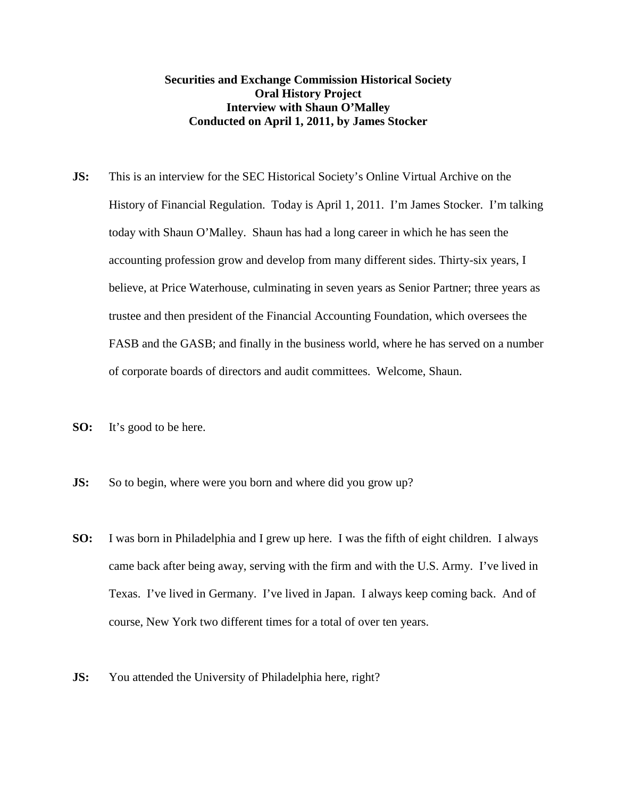## **Securities and Exchange Commission Historical Society Oral History Project Interview with Shaun O'Malley Conducted on April 1, 2011, by James Stocker**

- **JS:** This is an interview for the SEC Historical Society's Online Virtual Archive on the History of Financial Regulation. Today is April 1, 2011. I'm James Stocker. I'm talking today with Shaun O'Malley. Shaun has had a long career in which he has seen the accounting profession grow and develop from many different sides. Thirty-six years, I believe, at Price Waterhouse, culminating in seven years as Senior Partner; three years as trustee and then president of the Financial Accounting Foundation, which oversees the FASB and the GASB; and finally in the business world, where he has served on a number of corporate boards of directors and audit committees. Welcome, Shaun.
- **SO:** It's good to be here.
- **JS:** So to begin, where were you born and where did you grow up?
- **SO:** I was born in Philadelphia and I grew up here. I was the fifth of eight children. I always came back after being away, serving with the firm and with the U.S. Army. I've lived in Texas. I've lived in Germany. I've lived in Japan. I always keep coming back. And of course, New York two different times for a total of over ten years.
- **JS:** You attended the University of Philadelphia here, right?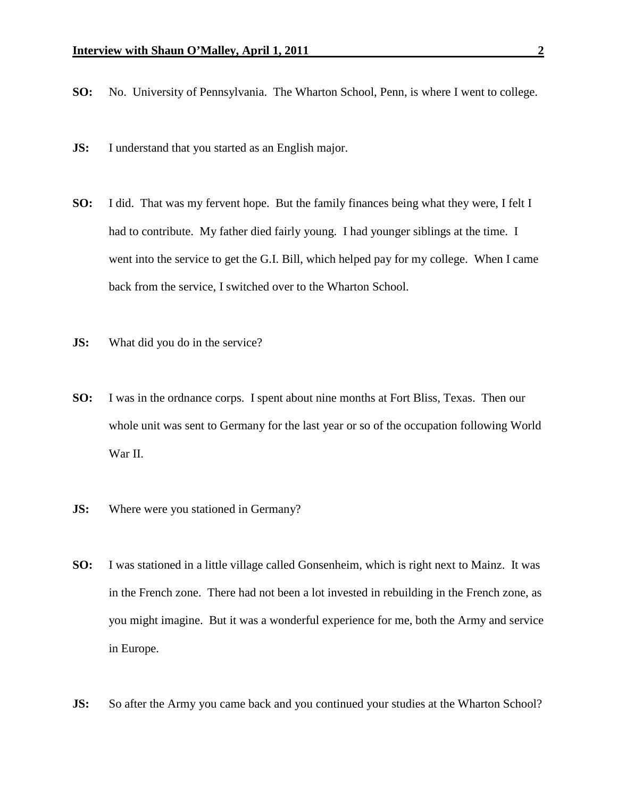- **SO:** No. University of Pennsylvania. The Wharton School, Penn, is where I went to college.
- **JS:** I understand that you started as an English major.
- **SO:** I did. That was my fervent hope. But the family finances being what they were, I felt I had to contribute. My father died fairly young. I had younger siblings at the time. I went into the service to get the G.I. Bill, which helped pay for my college. When I came back from the service, I switched over to the Wharton School.
- **JS:** What did you do in the service?
- **SO:** I was in the ordnance corps. I spent about nine months at Fort Bliss, Texas. Then our whole unit was sent to Germany for the last year or so of the occupation following World War II.
- **JS:** Where were you stationed in Germany?
- **SO:** I was stationed in a little village called Gonsenheim, which is right next to Mainz. It was in the French zone. There had not been a lot invested in rebuilding in the French zone, as you might imagine. But it was a wonderful experience for me, both the Army and service in Europe.
- **JS:** So after the Army you came back and you continued your studies at the Wharton School?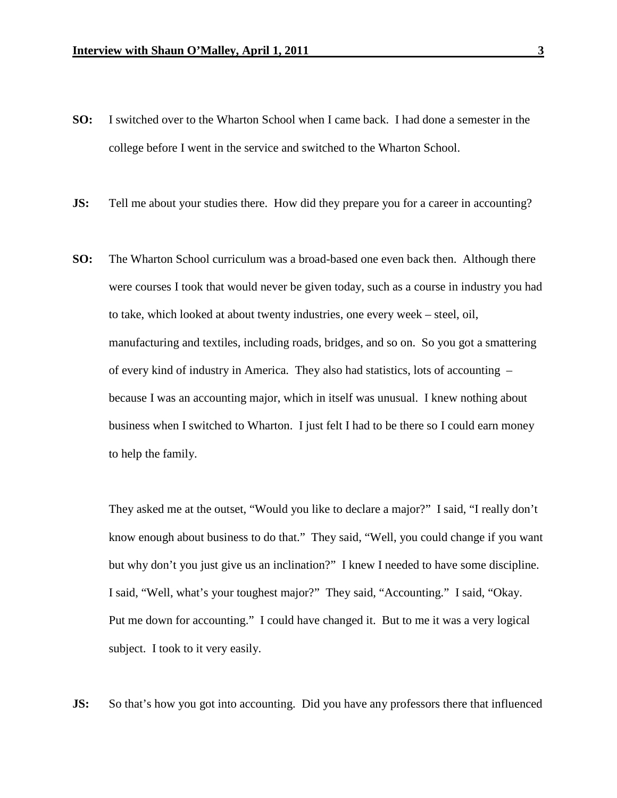- **SO:** I switched over to the Wharton School when I came back. I had done a semester in the college before I went in the service and switched to the Wharton School.
- **JS:** Tell me about your studies there. How did they prepare you for a career in accounting?
- **SO:** The Wharton School curriculum was a broad-based one even back then. Although there were courses I took that would never be given today, such as a course in industry you had to take, which looked at about twenty industries, one every week – steel, oil, manufacturing and textiles, including roads, bridges, and so on. So you got a smattering of every kind of industry in America. They also had statistics, lots of accounting – because I was an accounting major, which in itself was unusual. I knew nothing about business when I switched to Wharton. I just felt I had to be there so I could earn money to help the family.

They asked me at the outset, "Would you like to declare a major?" I said, "I really don't know enough about business to do that." They said, "Well, you could change if you want but why don't you just give us an inclination?" I knew I needed to have some discipline. I said, "Well, what's your toughest major?" They said, "Accounting." I said, "Okay. Put me down for accounting." I could have changed it. But to me it was a very logical subject. I took to it very easily.

**JS:** So that's how you got into accounting. Did you have any professors there that influenced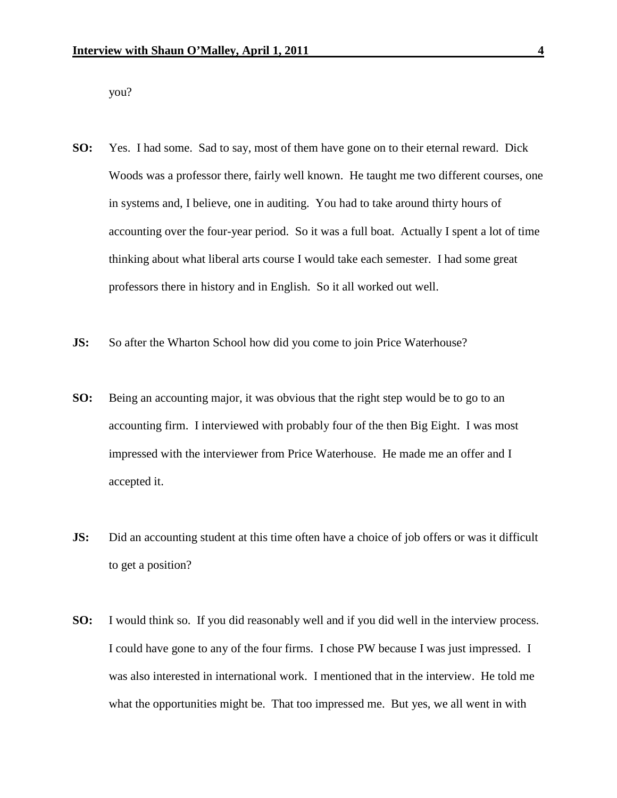you?

- **SO:** Yes. I had some. Sad to say, most of them have gone on to their eternal reward. Dick Woods was a professor there, fairly well known. He taught me two different courses, one in systems and, I believe, one in auditing. You had to take around thirty hours of accounting over the four-year period. So it was a full boat. Actually I spent a lot of time thinking about what liberal arts course I would take each semester. I had some great professors there in history and in English. So it all worked out well.
- **JS:** So after the Wharton School how did you come to join Price Waterhouse?
- **SO:** Being an accounting major, it was obvious that the right step would be to go to an accounting firm. I interviewed with probably four of the then Big Eight. I was most impressed with the interviewer from Price Waterhouse. He made me an offer and I accepted it.
- **JS:** Did an accounting student at this time often have a choice of job offers or was it difficult to get a position?
- **SO:** I would think so. If you did reasonably well and if you did well in the interview process. I could have gone to any of the four firms. I chose PW because I was just impressed. I was also interested in international work. I mentioned that in the interview. He told me what the opportunities might be. That too impressed me. But yes, we all went in with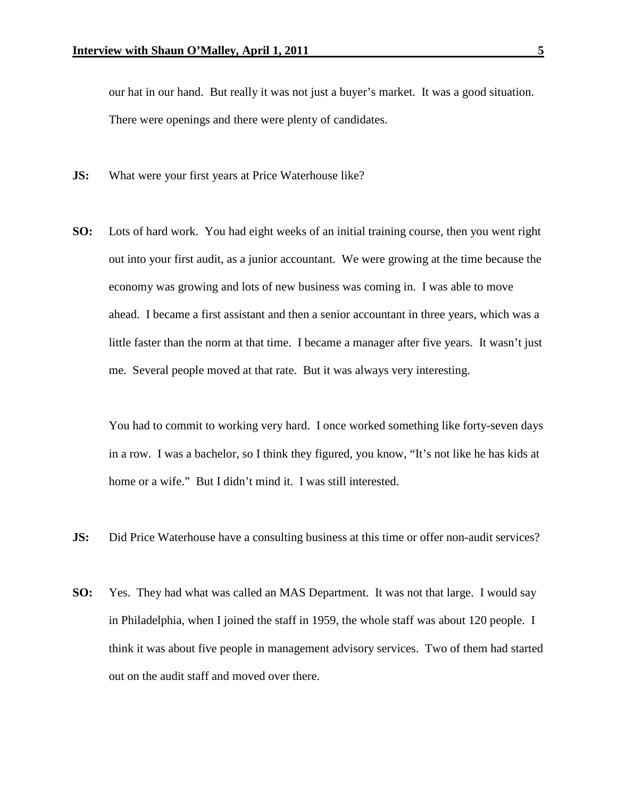our hat in our hand. But really it was not just a buyer's market. It was a good situation. There were openings and there were plenty of candidates.

- **JS:** What were your first years at Price Waterhouse like?
- **SO:** Lots of hard work. You had eight weeks of an initial training course, then you went right out into your first audit, as a junior accountant. We were growing at the time because the economy was growing and lots of new business was coming in. I was able to move ahead. I became a first assistant and then a senior accountant in three years, which was a little faster than the norm at that time. I became a manager after five years. It wasn't just me. Several people moved at that rate. But it was always very interesting.

You had to commit to working very hard. I once worked something like forty-seven days in a row. I was a bachelor, so I think they figured, you know, "It's not like he has kids at home or a wife." But I didn't mind it. I was still interested.

- **JS:** Did Price Waterhouse have a consulting business at this time or offer non-audit services?
- **SO:** Yes. They had what was called an MAS Department. It was not that large. I would say in Philadelphia, when I joined the staff in 1959, the whole staff was about 120 people. I think it was about five people in management advisory services. Two of them had started out on the audit staff and moved over there.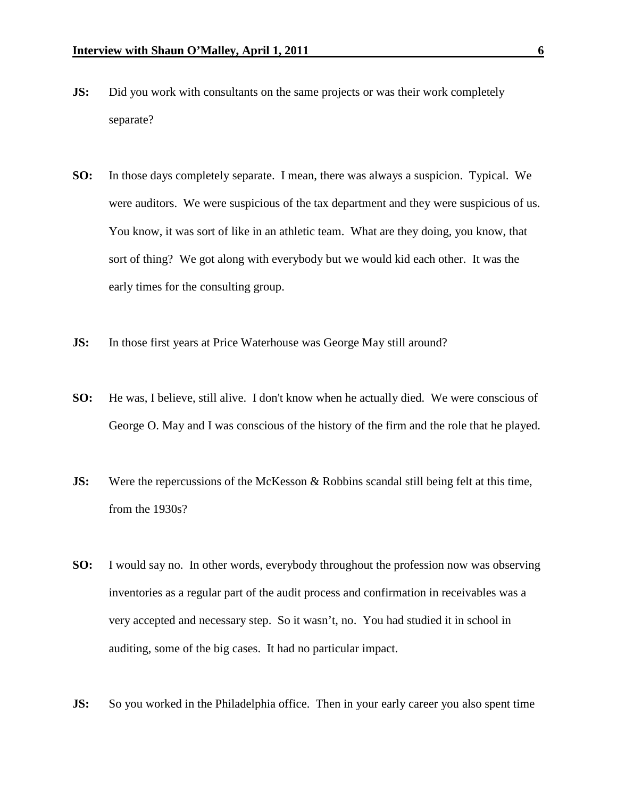- **JS:** Did you work with consultants on the same projects or was their work completely separate?
- **SO:** In those days completely separate. I mean, there was always a suspicion. Typical. We were auditors. We were suspicious of the tax department and they were suspicious of us. You know, it was sort of like in an athletic team. What are they doing, you know, that sort of thing? We got along with everybody but we would kid each other. It was the early times for the consulting group.
- **JS:** In those first years at Price Waterhouse was George May still around?
- **SO:** He was, I believe, still alive. I don't know when he actually died. We were conscious of George O. May and I was conscious of the history of the firm and the role that he played.
- **JS:** Were the repercussions of the McKesson & Robbins scandal still being felt at this time, from the 1930s?
- **SO:** I would say no. In other words, everybody throughout the profession now was observing inventories as a regular part of the audit process and confirmation in receivables was a very accepted and necessary step. So it wasn't, no. You had studied it in school in auditing, some of the big cases. It had no particular impact.
- **JS:** So you worked in the Philadelphia office. Then in your early career you also spent time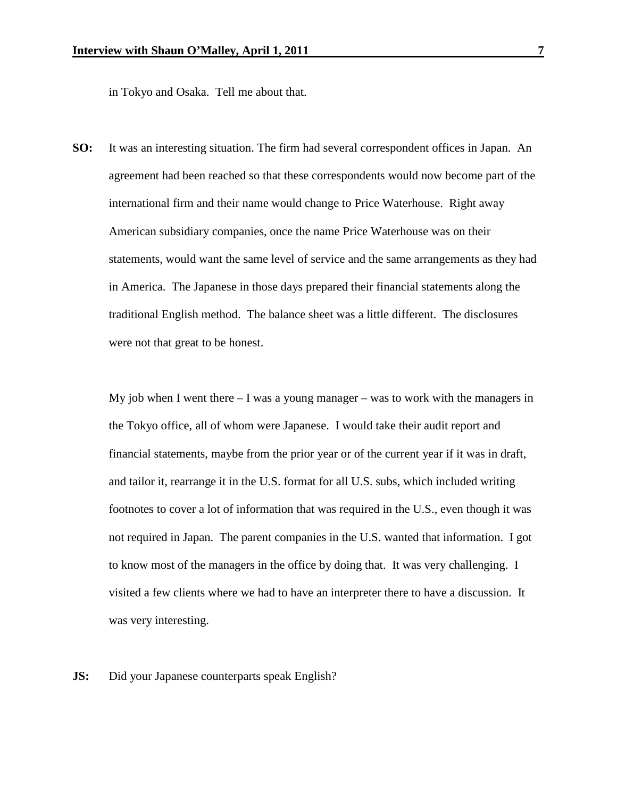in Tokyo and Osaka. Tell me about that.

**SO:** It was an interesting situation. The firm had several correspondent offices in Japan. An agreement had been reached so that these correspondents would now become part of the international firm and their name would change to Price Waterhouse. Right away American subsidiary companies, once the name Price Waterhouse was on their statements, would want the same level of service and the same arrangements as they had in America. The Japanese in those days prepared their financial statements along the traditional English method. The balance sheet was a little different. The disclosures were not that great to be honest.

My job when I went there  $-$  I was a young manager – was to work with the managers in the Tokyo office, all of whom were Japanese. I would take their audit report and financial statements, maybe from the prior year or of the current year if it was in draft, and tailor it, rearrange it in the U.S. format for all U.S. subs, which included writing footnotes to cover a lot of information that was required in the U.S., even though it was not required in Japan. The parent companies in the U.S. wanted that information. I got to know most of the managers in the office by doing that. It was very challenging. I visited a few clients where we had to have an interpreter there to have a discussion. It was very interesting.

**JS:** Did your Japanese counterparts speak English?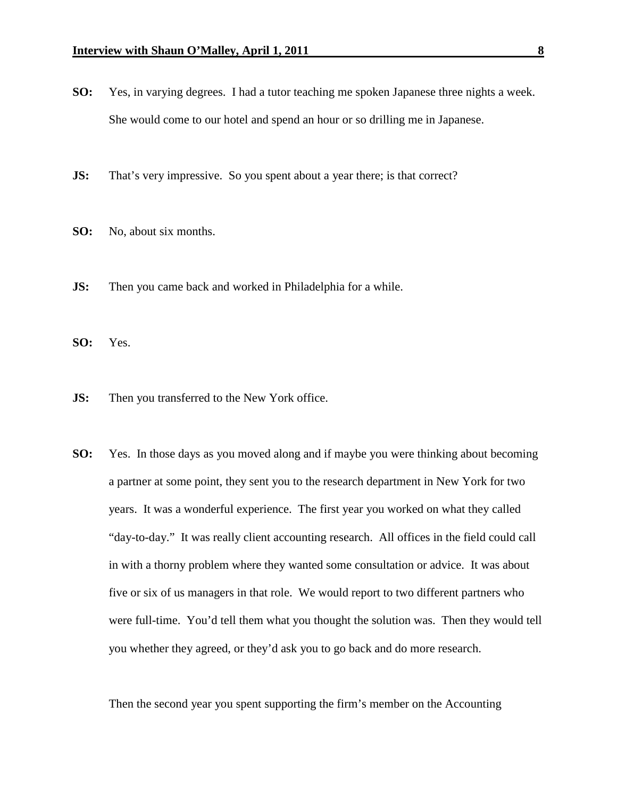- **SO:** Yes, in varying degrees. I had a tutor teaching me spoken Japanese three nights a week. She would come to our hotel and spend an hour or so drilling me in Japanese.
- **JS:** That's very impressive. So you spent about a year there; is that correct?
- **SO:** No, about six months.
- **JS:** Then you came back and worked in Philadelphia for a while.
- **SO:** Yes.
- **JS:** Then you transferred to the New York office.
- **SO:** Yes. In those days as you moved along and if maybe you were thinking about becoming a partner at some point, they sent you to the research department in New York for two years. It was a wonderful experience. The first year you worked on what they called "day-to-day." It was really client accounting research. All offices in the field could call in with a thorny problem where they wanted some consultation or advice. It was about five or six of us managers in that role. We would report to two different partners who were full-time. You'd tell them what you thought the solution was. Then they would tell you whether they agreed, or they'd ask you to go back and do more research.

Then the second year you spent supporting the firm's member on the Accounting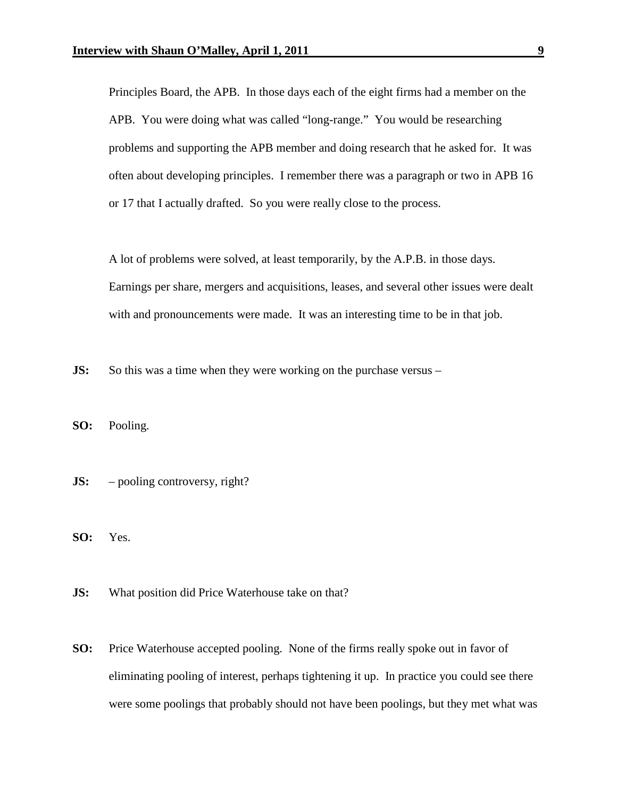Principles Board, the APB. In those days each of the eight firms had a member on the APB. You were doing what was called "long-range." You would be researching problems and supporting the APB member and doing research that he asked for. It was often about developing principles. I remember there was a paragraph or two in APB 16 or 17 that I actually drafted. So you were really close to the process.

A lot of problems were solved, at least temporarily, by the A.P.B. in those days. Earnings per share, mergers and acquisitions, leases, and several other issues were dealt with and pronouncements were made. It was an interesting time to be in that job.

**JS:** So this was a time when they were working on the purchase versus –

**SO:** Pooling.

- **JS:** pooling controversy, right?
- **SO:** Yes.
- **JS:** What position did Price Waterhouse take on that?
- **SO:** Price Waterhouse accepted pooling. None of the firms really spoke out in favor of eliminating pooling of interest, perhaps tightening it up. In practice you could see there were some poolings that probably should not have been poolings, but they met what was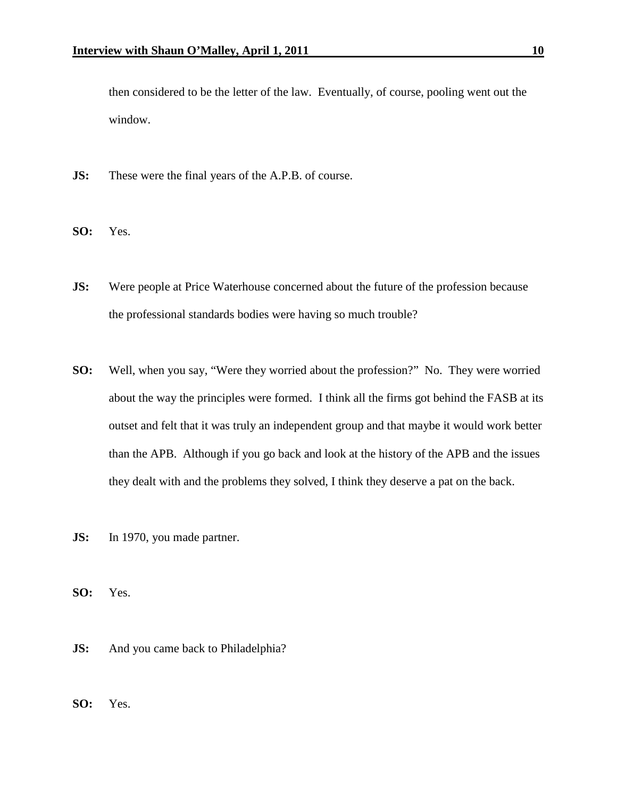then considered to be the letter of the law. Eventually, of course, pooling went out the window.

- **JS:** These were the final years of the A.P.B. of course.
- **SO:** Yes.
- **JS:** Were people at Price Waterhouse concerned about the future of the profession because the professional standards bodies were having so much trouble?
- **SO:** Well, when you say, "Were they worried about the profession?" No. They were worried about the way the principles were formed. I think all the firms got behind the FASB at its outset and felt that it was truly an independent group and that maybe it would work better than the APB. Although if you go back and look at the history of the APB and the issues they dealt with and the problems they solved, I think they deserve a pat on the back.
- **JS:** In 1970, you made partner.
- **SO:** Yes.
- **JS:** And you came back to Philadelphia?
- **SO:** Yes.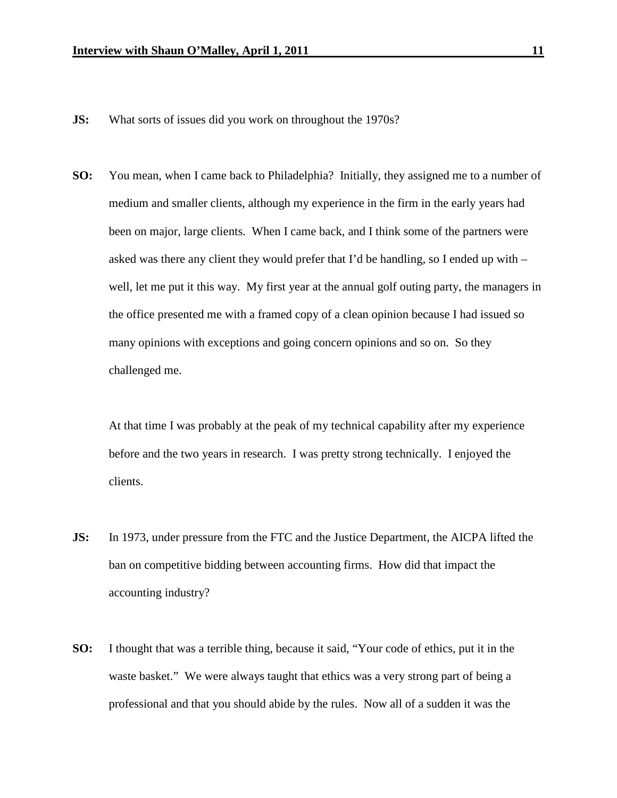- **JS:** What sorts of issues did you work on throughout the 1970s?
- **SO:** You mean, when I came back to Philadelphia? Initially, they assigned me to a number of medium and smaller clients, although my experience in the firm in the early years had been on major, large clients. When I came back, and I think some of the partners were asked was there any client they would prefer that I'd be handling, so I ended up with – well, let me put it this way. My first year at the annual golf outing party, the managers in the office presented me with a framed copy of a clean opinion because I had issued so many opinions with exceptions and going concern opinions and so on. So they challenged me.

At that time I was probably at the peak of my technical capability after my experience before and the two years in research. I was pretty strong technically. I enjoyed the clients.

- **JS:** In 1973, under pressure from the FTC and the Justice Department, the AICPA lifted the ban on competitive bidding between accounting firms. How did that impact the accounting industry?
- **SO:** I thought that was a terrible thing, because it said, "Your code of ethics, put it in the waste basket." We were always taught that ethics was a very strong part of being a professional and that you should abide by the rules. Now all of a sudden it was the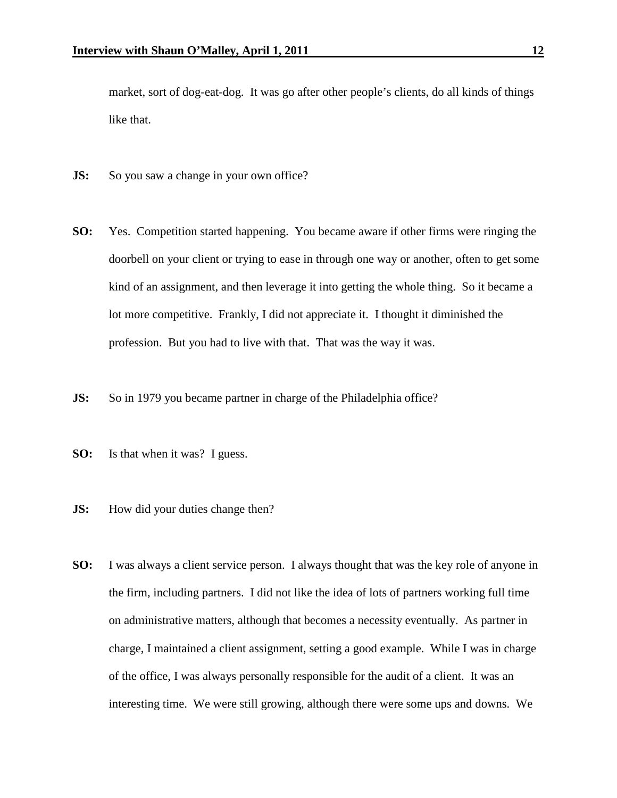market, sort of dog-eat-dog. It was go after other people's clients, do all kinds of things like that.

- **JS:** So you saw a change in your own office?
- **SO:** Yes. Competition started happening. You became aware if other firms were ringing the doorbell on your client or trying to ease in through one way or another, often to get some kind of an assignment, and then leverage it into getting the whole thing. So it became a lot more competitive. Frankly, I did not appreciate it. I thought it diminished the profession. But you had to live with that. That was the way it was.
- **JS:** So in 1979 you became partner in charge of the Philadelphia office?
- **SO:** Is that when it was? I guess.
- **JS:** How did your duties change then?
- **SO:** I was always a client service person. I always thought that was the key role of anyone in the firm, including partners. I did not like the idea of lots of partners working full time on administrative matters, although that becomes a necessity eventually. As partner in charge, I maintained a client assignment, setting a good example. While I was in charge of the office, I was always personally responsible for the audit of a client. It was an interesting time. We were still growing, although there were some ups and downs. We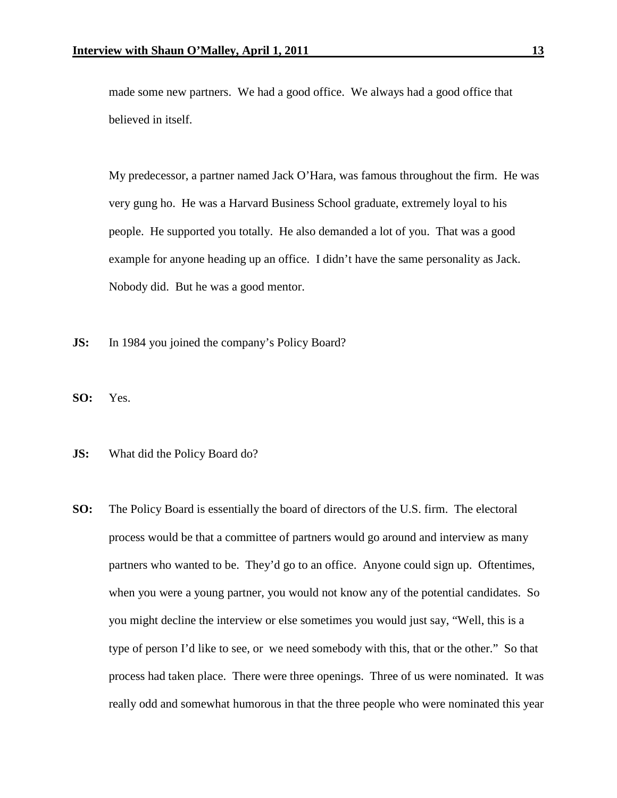made some new partners. We had a good office. We always had a good office that believed in itself.

My predecessor, a partner named Jack O'Hara, was famous throughout the firm. He was very gung ho. He was a Harvard Business School graduate, extremely loyal to his people. He supported you totally. He also demanded a lot of you. That was a good example for anyone heading up an office. I didn't have the same personality as Jack. Nobody did. But he was a good mentor.

- **JS:** In 1984 you joined the company's Policy Board?
- **SO:** Yes.
- **JS:** What did the Policy Board do?
- **SO:** The Policy Board is essentially the board of directors of the U.S. firm. The electoral process would be that a committee of partners would go around and interview as many partners who wanted to be. They'd go to an office. Anyone could sign up. Oftentimes, when you were a young partner, you would not know any of the potential candidates. So you might decline the interview or else sometimes you would just say, "Well, this is a type of person I'd like to see, or we need somebody with this, that or the other." So that process had taken place. There were three openings. Three of us were nominated. It was really odd and somewhat humorous in that the three people who were nominated this year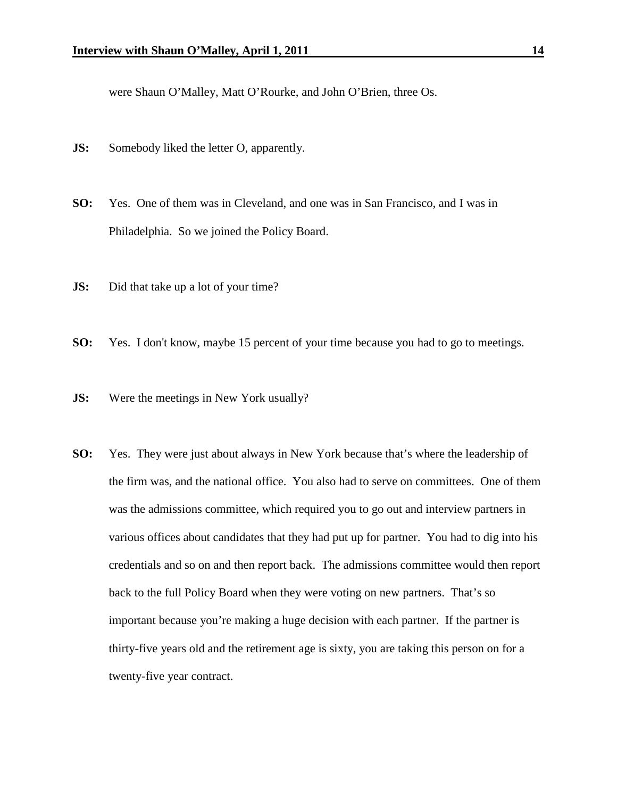were Shaun O'Malley, Matt O'Rourke, and John O'Brien, three Os.

- **JS:** Somebody liked the letter O, apparently.
- **SO:** Yes. One of them was in Cleveland, and one was in San Francisco, and I was in Philadelphia. So we joined the Policy Board.
- **JS:** Did that take up a lot of your time?
- **SO:** Yes. I don't know, maybe 15 percent of your time because you had to go to meetings.
- **JS:** Were the meetings in New York usually?
- **SO:** Yes. They were just about always in New York because that's where the leadership of the firm was, and the national office. You also had to serve on committees. One of them was the admissions committee, which required you to go out and interview partners in various offices about candidates that they had put up for partner. You had to dig into his credentials and so on and then report back. The admissions committee would then report back to the full Policy Board when they were voting on new partners. That's so important because you're making a huge decision with each partner. If the partner is thirty-five years old and the retirement age is sixty, you are taking this person on for a twenty-five year contract.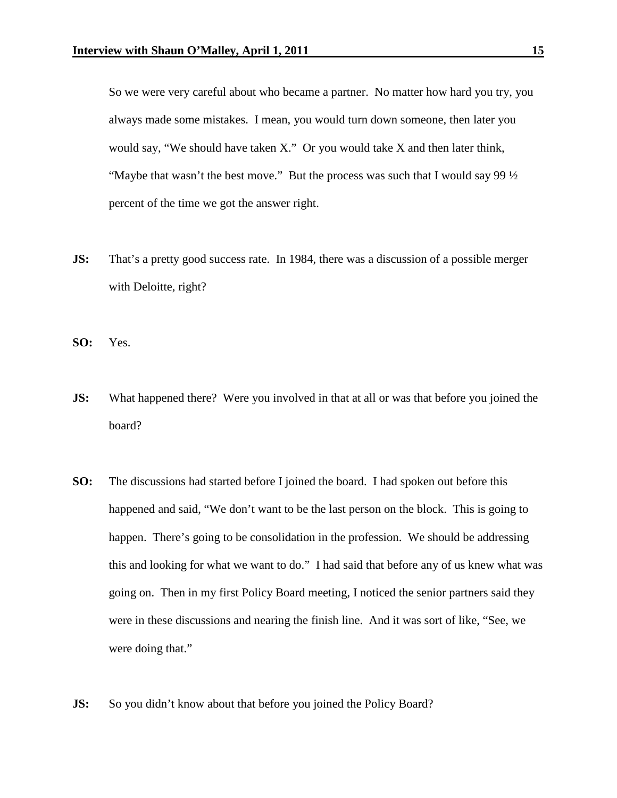So we were very careful about who became a partner. No matter how hard you try, you always made some mistakes. I mean, you would turn down someone, then later you would say, "We should have taken X." Or you would take X and then later think, "Maybe that wasn't the best move." But the process was such that I would say 99  $\frac{1}{2}$ percent of the time we got the answer right.

**JS:** That's a pretty good success rate. In 1984, there was a discussion of a possible merger with Deloitte, right?

**SO:** Yes.

- **JS:** What happened there? Were you involved in that at all or was that before you joined the board?
- **SO:** The discussions had started before I joined the board. I had spoken out before this happened and said, "We don't want to be the last person on the block. This is going to happen. There's going to be consolidation in the profession. We should be addressing this and looking for what we want to do." I had said that before any of us knew what was going on. Then in my first Policy Board meeting, I noticed the senior partners said they were in these discussions and nearing the finish line. And it was sort of like, "See, we were doing that."
- **JS:** So you didn't know about that before you joined the Policy Board?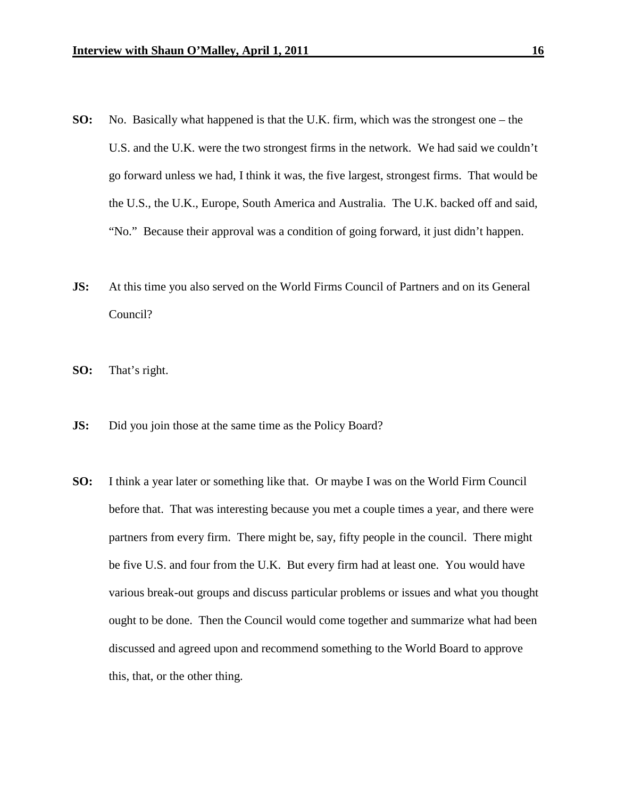- **SO:** No. Basically what happened is that the U.K. firm, which was the strongest one the U.S. and the U.K. were the two strongest firms in the network. We had said we couldn't go forward unless we had, I think it was, the five largest, strongest firms. That would be the U.S., the U.K., Europe, South America and Australia. The U.K. backed off and said, "No." Because their approval was a condition of going forward, it just didn't happen.
- **JS:** At this time you also served on the World Firms Council of Partners and on its General Council?
- **SO:** That's right.
- **JS:** Did you join those at the same time as the Policy Board?
- **SO:** I think a year later or something like that. Or maybe I was on the World Firm Council before that. That was interesting because you met a couple times a year, and there were partners from every firm. There might be, say, fifty people in the council. There might be five U.S. and four from the U.K. But every firm had at least one. You would have various break-out groups and discuss particular problems or issues and what you thought ought to be done. Then the Council would come together and summarize what had been discussed and agreed upon and recommend something to the World Board to approve this, that, or the other thing.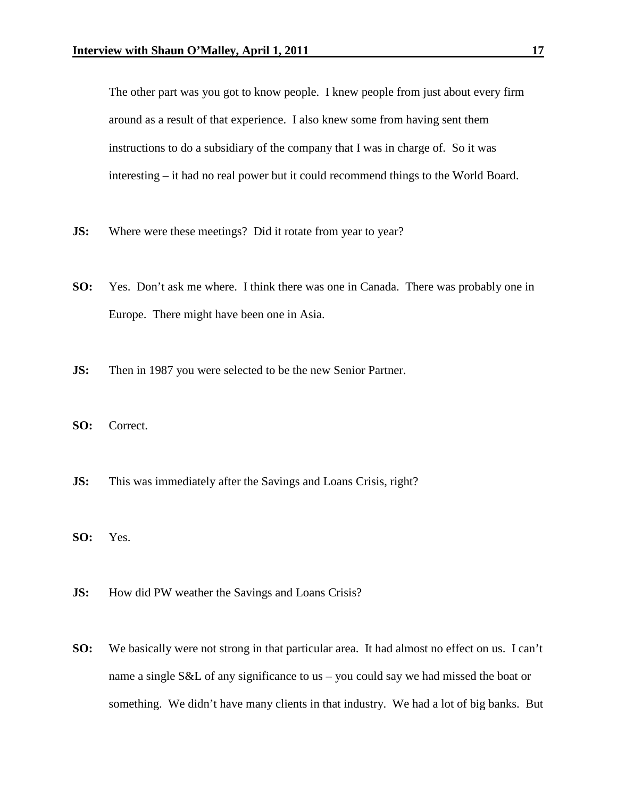The other part was you got to know people. I knew people from just about every firm around as a result of that experience. I also knew some from having sent them instructions to do a subsidiary of the company that I was in charge of. So it was interesting – it had no real power but it could recommend things to the World Board.

- **JS:** Where were these meetings? Did it rotate from year to year?
- **SO:** Yes. Don't ask me where. I think there was one in Canada. There was probably one in Europe. There might have been one in Asia.
- **JS:** Then in 1987 you were selected to be the new Senior Partner.
- **SO:** Correct.
- **JS:** This was immediately after the Savings and Loans Crisis, right?
- **SO:** Yes.
- **JS:** How did PW weather the Savings and Loans Crisis?
- **SO:** We basically were not strong in that particular area. It had almost no effect on us. I can't name a single S&L of any significance to us – you could say we had missed the boat or something. We didn't have many clients in that industry. We had a lot of big banks. But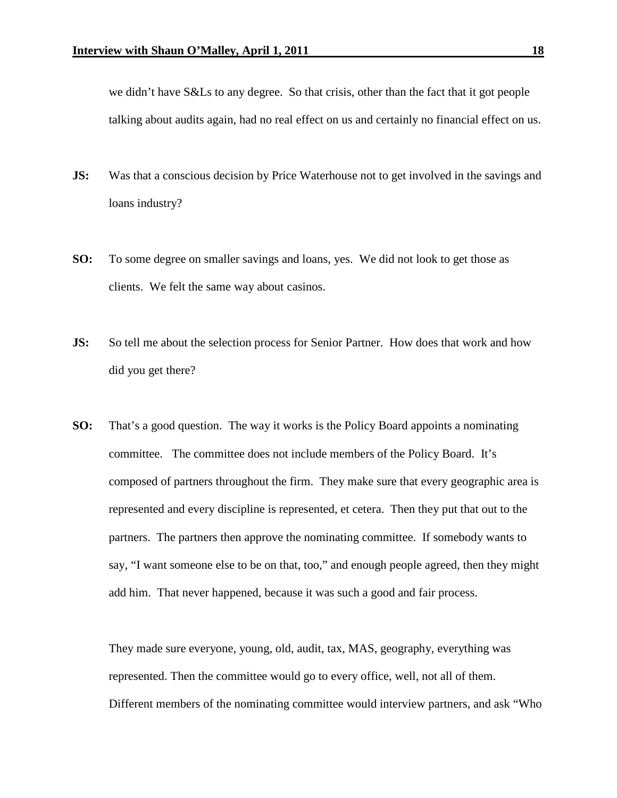we didn't have S&Ls to any degree. So that crisis, other than the fact that it got people talking about audits again, had no real effect on us and certainly no financial effect on us.

- **JS:** Was that a conscious decision by Price Waterhouse not to get involved in the savings and loans industry?
- **SO:** To some degree on smaller savings and loans, yes. We did not look to get those as clients. We felt the same way about casinos.
- **JS:** So tell me about the selection process for Senior Partner. How does that work and how did you get there?
- **SO:** That's a good question. The way it works is the Policy Board appoints a nominating committee. The committee does not include members of the Policy Board. It's composed of partners throughout the firm. They make sure that every geographic area is represented and every discipline is represented, et cetera. Then they put that out to the partners. The partners then approve the nominating committee. If somebody wants to say, "I want someone else to be on that, too," and enough people agreed, then they might add him. That never happened, because it was such a good and fair process.

They made sure everyone, young, old, audit, tax, MAS, geography, everything was represented. Then the committee would go to every office, well, not all of them. Different members of the nominating committee would interview partners, and ask "Who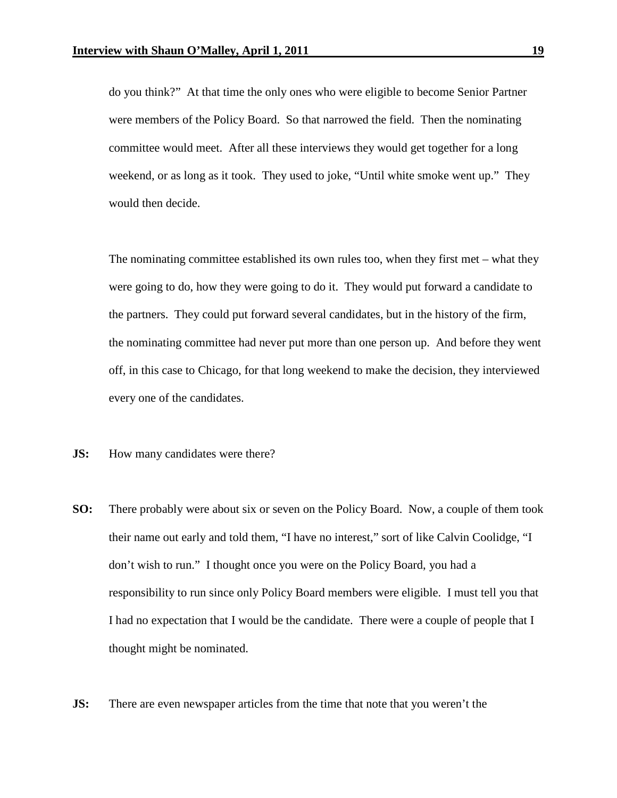do you think?" At that time the only ones who were eligible to become Senior Partner were members of the Policy Board. So that narrowed the field. Then the nominating committee would meet. After all these interviews they would get together for a long weekend, or as long as it took. They used to joke, "Until white smoke went up." They would then decide.

The nominating committee established its own rules too, when they first met – what they were going to do, how they were going to do it. They would put forward a candidate to the partners. They could put forward several candidates, but in the history of the firm, the nominating committee had never put more than one person up. And before they went off, in this case to Chicago, for that long weekend to make the decision, they interviewed every one of the candidates.

- **JS:** How many candidates were there?
- **SO:** There probably were about six or seven on the Policy Board. Now, a couple of them took their name out early and told them, "I have no interest," sort of like Calvin Coolidge, "I don't wish to run." I thought once you were on the Policy Board, you had a responsibility to run since only Policy Board members were eligible. I must tell you that I had no expectation that I would be the candidate. There were a couple of people that I thought might be nominated.
- **JS:** There are even newspaper articles from the time that note that you weren't the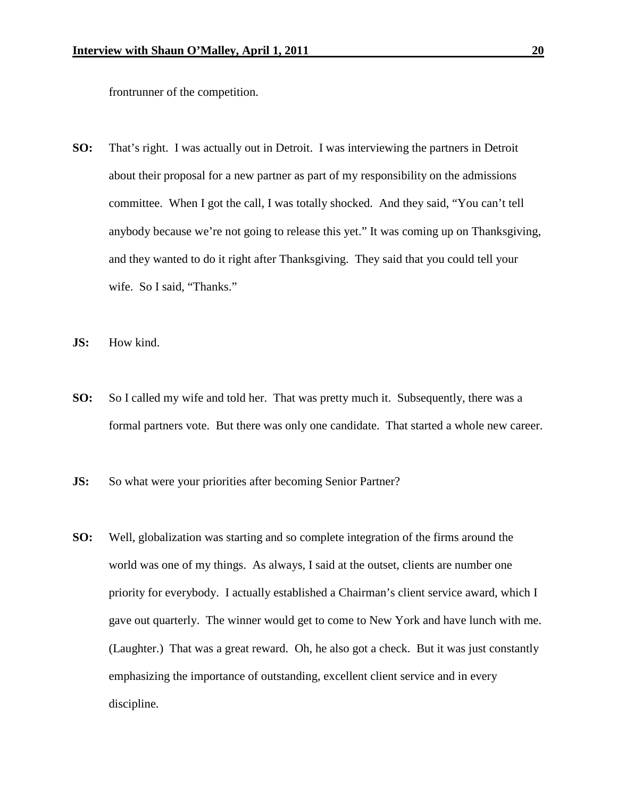frontrunner of the competition.

- **SO:** That's right. I was actually out in Detroit. I was interviewing the partners in Detroit about their proposal for a new partner as part of my responsibility on the admissions committee. When I got the call, I was totally shocked. And they said, "You can't tell anybody because we're not going to release this yet." It was coming up on Thanksgiving, and they wanted to do it right after Thanksgiving. They said that you could tell your wife. So I said, "Thanks."
- **JS:** How kind.
- **SO:** So I called my wife and told her. That was pretty much it. Subsequently, there was a formal partners vote. But there was only one candidate. That started a whole new career.
- **JS:** So what were your priorities after becoming Senior Partner?
- **SO:** Well, globalization was starting and so complete integration of the firms around the world was one of my things. As always, I said at the outset, clients are number one priority for everybody. I actually established a Chairman's client service award, which I gave out quarterly. The winner would get to come to New York and have lunch with me. (Laughter.) That was a great reward. Oh, he also got a check. But it was just constantly emphasizing the importance of outstanding, excellent client service and in every discipline.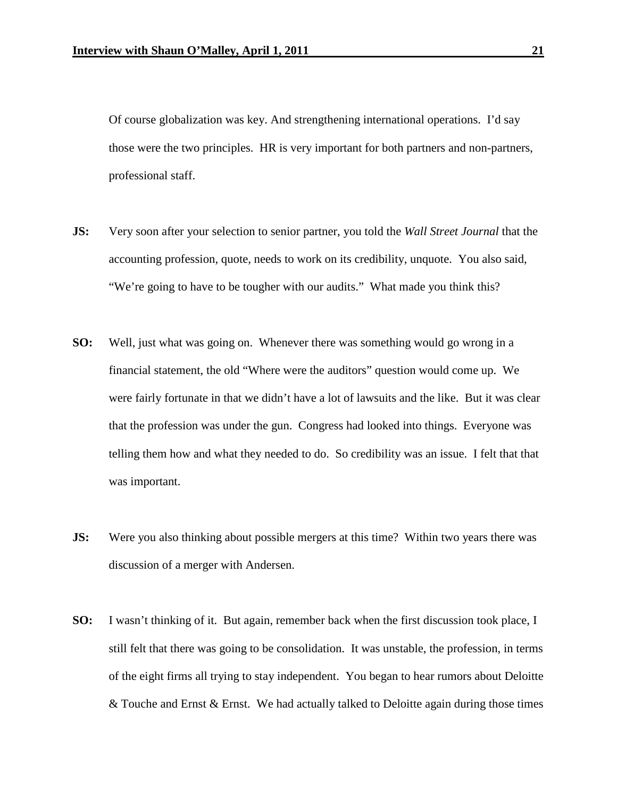Of course globalization was key. And strengthening international operations. I'd say those were the two principles. HR is very important for both partners and non-partners, professional staff.

- **JS:** Very soon after your selection to senior partner, you told the *Wall Street Journal* that the accounting profession, quote, needs to work on its credibility, unquote. You also said, "We're going to have to be tougher with our audits." What made you think this?
- **SO:** Well, just what was going on. Whenever there was something would go wrong in a financial statement, the old "Where were the auditors" question would come up. We were fairly fortunate in that we didn't have a lot of lawsuits and the like. But it was clear that the profession was under the gun. Congress had looked into things. Everyone was telling them how and what they needed to do. So credibility was an issue. I felt that that was important.
- **JS:** Were you also thinking about possible mergers at this time? Within two years there was discussion of a merger with Andersen.
- **SO:** I wasn't thinking of it. But again, remember back when the first discussion took place, I still felt that there was going to be consolidation. It was unstable, the profession, in terms of the eight firms all trying to stay independent. You began to hear rumors about Deloitte  $&$  Touche and Ernst  $&$  Ernst. We had actually talked to Deloitte again during those times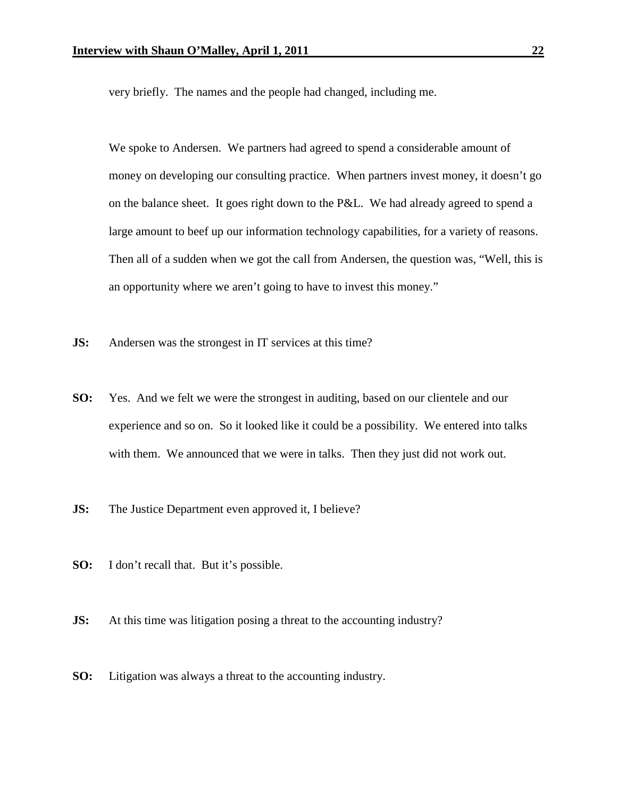very briefly. The names and the people had changed, including me.

We spoke to Andersen. We partners had agreed to spend a considerable amount of money on developing our consulting practice. When partners invest money, it doesn't go on the balance sheet. It goes right down to the P&L. We had already agreed to spend a large amount to beef up our information technology capabilities, for a variety of reasons. Then all of a sudden when we got the call from Andersen, the question was, "Well, this is an opportunity where we aren't going to have to invest this money."

- **JS:** Andersen was the strongest in IT services at this time?
- **SO:** Yes. And we felt we were the strongest in auditing, based on our clientele and our experience and so on. So it looked like it could be a possibility. We entered into talks with them. We announced that we were in talks. Then they just did not work out.
- **JS:** The Justice Department even approved it, I believe?
- **SO:** I don't recall that. But it's possible.
- **JS:** At this time was litigation posing a threat to the accounting industry?
- **SO:** Litigation was always a threat to the accounting industry.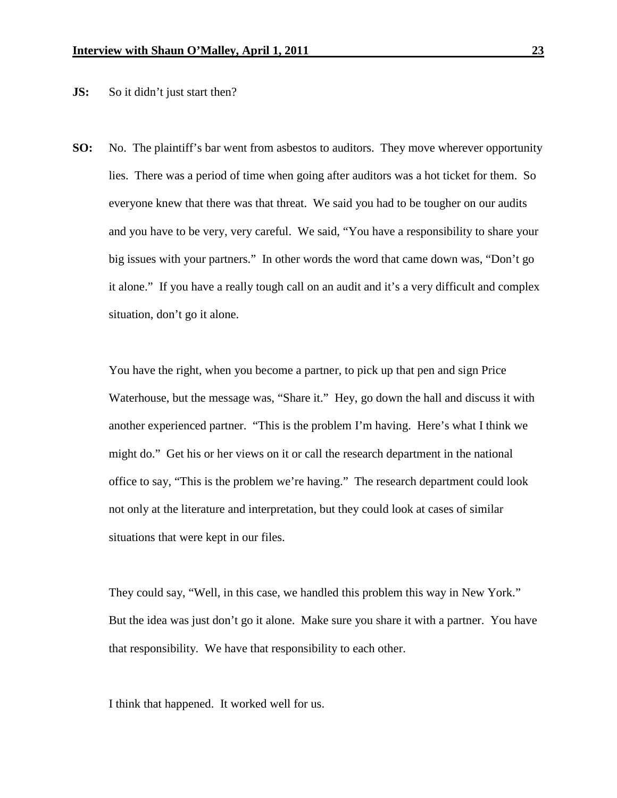**JS:** So it didn't just start then?

**SO:** No. The plaintiff's bar went from asbestos to auditors. They move wherever opportunity lies. There was a period of time when going after auditors was a hot ticket for them. So everyone knew that there was that threat. We said you had to be tougher on our audits and you have to be very, very careful. We said, "You have a responsibility to share your big issues with your partners." In other words the word that came down was, "Don't go it alone." If you have a really tough call on an audit and it's a very difficult and complex situation, don't go it alone.

You have the right, when you become a partner, to pick up that pen and sign Price Waterhouse, but the message was, "Share it." Hey, go down the hall and discuss it with another experienced partner. "This is the problem I'm having. Here's what I think we might do." Get his or her views on it or call the research department in the national office to say, "This is the problem we're having." The research department could look not only at the literature and interpretation, but they could look at cases of similar situations that were kept in our files.

They could say, "Well, in this case, we handled this problem this way in New York." But the idea was just don't go it alone. Make sure you share it with a partner. You have that responsibility. We have that responsibility to each other.

I think that happened. It worked well for us.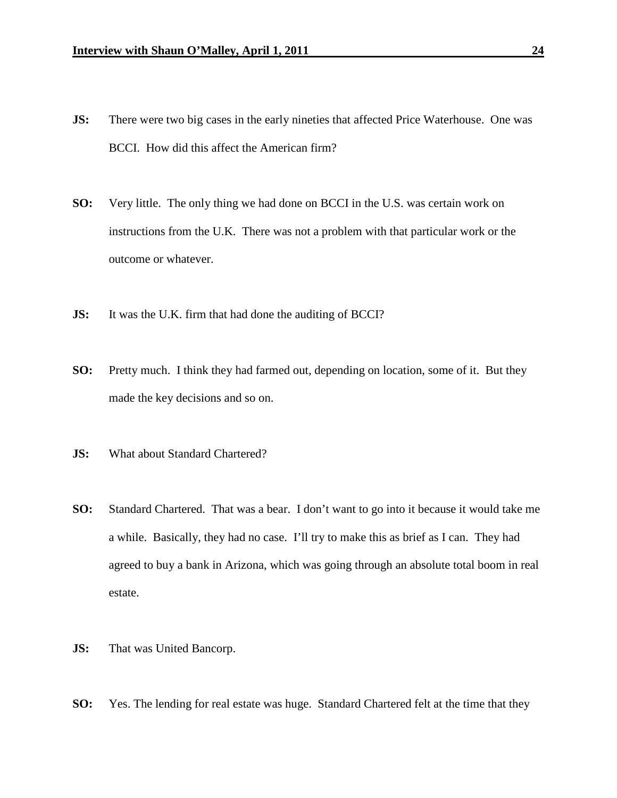- **JS:** There were two big cases in the early nineties that affected Price Waterhouse. One was BCCI. How did this affect the American firm?
- **SO:** Very little. The only thing we had done on BCCI in the U.S. was certain work on instructions from the U.K. There was not a problem with that particular work or the outcome or whatever.
- **JS:** It was the U.K. firm that had done the auditing of BCCI?
- **SO:** Pretty much. I think they had farmed out, depending on location, some of it. But they made the key decisions and so on.
- **JS:** What about Standard Chartered?
- **SO:** Standard Chartered. That was a bear. I don't want to go into it because it would take me a while. Basically, they had no case. I'll try to make this as brief as I can. They had agreed to buy a bank in Arizona, which was going through an absolute total boom in real estate.
- **JS:** That was United Bancorp.
- **SO:** Yes. The lending for real estate was huge. Standard Chartered felt at the time that they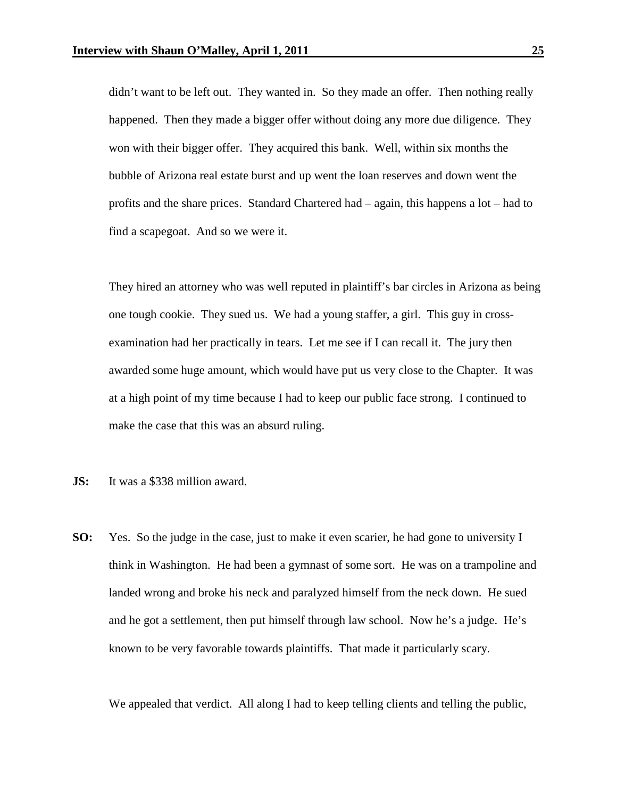didn't want to be left out. They wanted in. So they made an offer. Then nothing really happened. Then they made a bigger offer without doing any more due diligence. They won with their bigger offer. They acquired this bank. Well, within six months the bubble of Arizona real estate burst and up went the loan reserves and down went the profits and the share prices. Standard Chartered had – again, this happens a lot – had to find a scapegoat. And so we were it.

They hired an attorney who was well reputed in plaintiff's bar circles in Arizona as being one tough cookie. They sued us. We had a young staffer, a girl. This guy in crossexamination had her practically in tears. Let me see if I can recall it. The jury then awarded some huge amount, which would have put us very close to the Chapter. It was at a high point of my time because I had to keep our public face strong. I continued to make the case that this was an absurd ruling.

- **JS:** It was a \$338 million award.
- **SO:** Yes. So the judge in the case, just to make it even scarier, he had gone to university I think in Washington. He had been a gymnast of some sort. He was on a trampoline and landed wrong and broke his neck and paralyzed himself from the neck down. He sued and he got a settlement, then put himself through law school. Now he's a judge. He's known to be very favorable towards plaintiffs. That made it particularly scary.

We appealed that verdict. All along I had to keep telling clients and telling the public,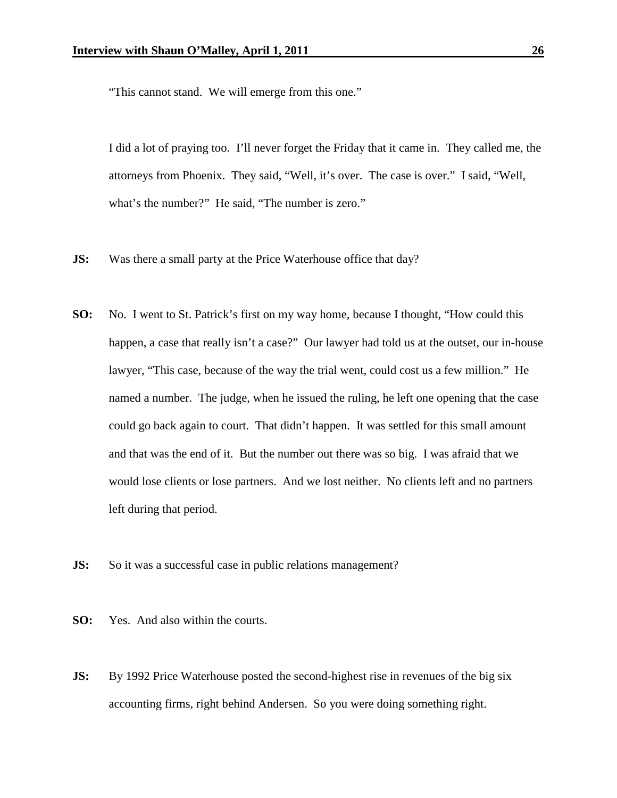"This cannot stand. We will emerge from this one."

I did a lot of praying too. I'll never forget the Friday that it came in. They called me, the attorneys from Phoenix. They said, "Well, it's over. The case is over." I said, "Well, what's the number?" He said, "The number is zero."

- **JS:** Was there a small party at the Price Waterhouse office that day?
- **SO:** No. I went to St. Patrick's first on my way home, because I thought, "How could this happen, a case that really isn't a case?" Our lawyer had told us at the outset, our in-house lawyer, "This case, because of the way the trial went, could cost us a few million." He named a number. The judge, when he issued the ruling, he left one opening that the case could go back again to court. That didn't happen. It was settled for this small amount and that was the end of it. But the number out there was so big. I was afraid that we would lose clients or lose partners. And we lost neither. No clients left and no partners left during that period.
- **JS:** So it was a successful case in public relations management?

**SO:** Yes. And also within the courts.

**JS:** By 1992 Price Waterhouse posted the second-highest rise in revenues of the big six accounting firms, right behind Andersen. So you were doing something right.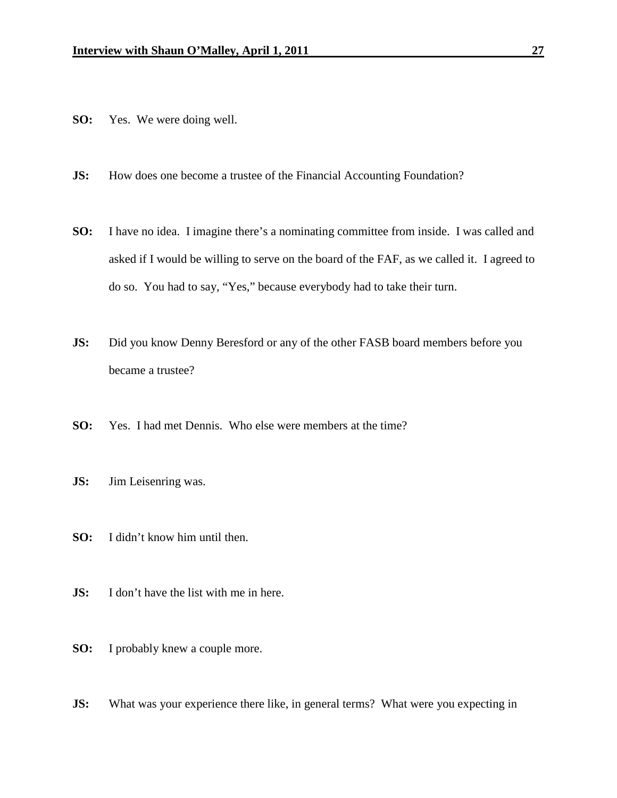- **SO:** Yes. We were doing well.
- **JS:** How does one become a trustee of the Financial Accounting Foundation?
- **SO:** I have no idea. I imagine there's a nominating committee from inside. I was called and asked if I would be willing to serve on the board of the FAF, as we called it. I agreed to do so. You had to say, "Yes," because everybody had to take their turn.
- **JS:** Did you know Denny Beresford or any of the other FASB board members before you became a trustee?
- **SO:** Yes. I had met Dennis. Who else were members at the time?
- **JS:** Jim Leisenring was.
- **SO:** I didn't know him until then.
- **JS:** I don't have the list with me in here.
- **SO:** I probably knew a couple more.
- **JS:** What was your experience there like, in general terms? What were you expecting in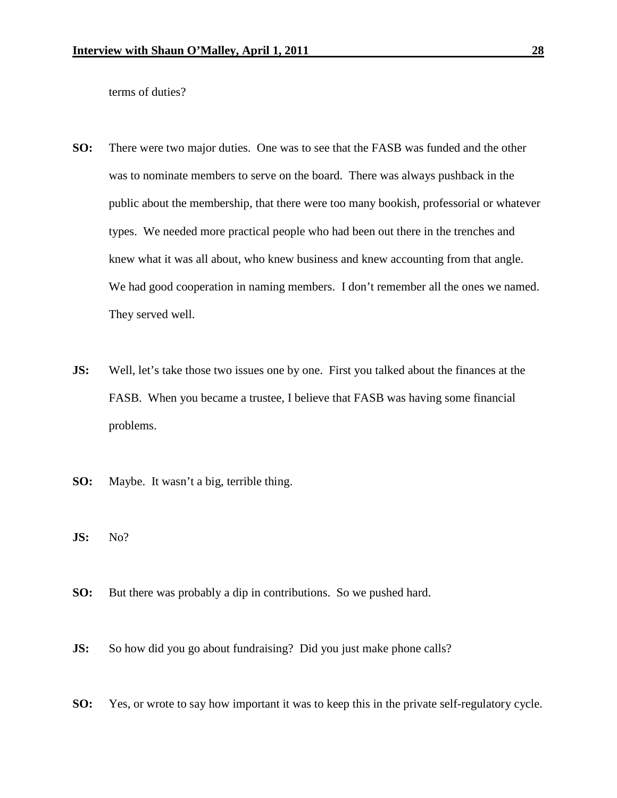terms of duties?

- **SO:** There were two major duties. One was to see that the FASB was funded and the other was to nominate members to serve on the board. There was always pushback in the public about the membership, that there were too many bookish, professorial or whatever types. We needed more practical people who had been out there in the trenches and knew what it was all about, who knew business and knew accounting from that angle. We had good cooperation in naming members. I don't remember all the ones we named. They served well.
- **JS:** Well, let's take those two issues one by one. First you talked about the finances at the FASB. When you became a trustee, I believe that FASB was having some financial problems.
- **SO:** Maybe. It wasn't a big, terrible thing.
- **JS:** No?
- **SO:** But there was probably a dip in contributions. So we pushed hard.
- **JS:** So how did you go about fundraising? Did you just make phone calls?
- **SO:** Yes, or wrote to say how important it was to keep this in the private self-regulatory cycle.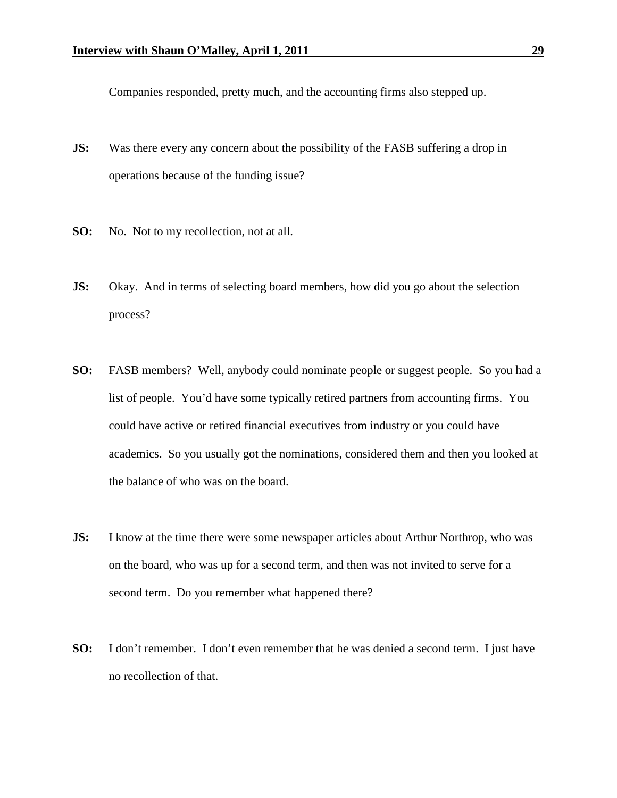Companies responded, pretty much, and the accounting firms also stepped up.

- **JS:** Was there every any concern about the possibility of the FASB suffering a drop in operations because of the funding issue?
- **SO:** No. Not to my recollection, not at all.
- **JS:** Okay. And in terms of selecting board members, how did you go about the selection process?
- **SO:** FASB members? Well, anybody could nominate people or suggest people. So you had a list of people. You'd have some typically retired partners from accounting firms. You could have active or retired financial executives from industry or you could have academics. So you usually got the nominations, considered them and then you looked at the balance of who was on the board.
- **JS:** I know at the time there were some newspaper articles about Arthur Northrop, who was on the board, who was up for a second term, and then was not invited to serve for a second term. Do you remember what happened there?
- **SO:** I don't remember. I don't even remember that he was denied a second term. I just have no recollection of that.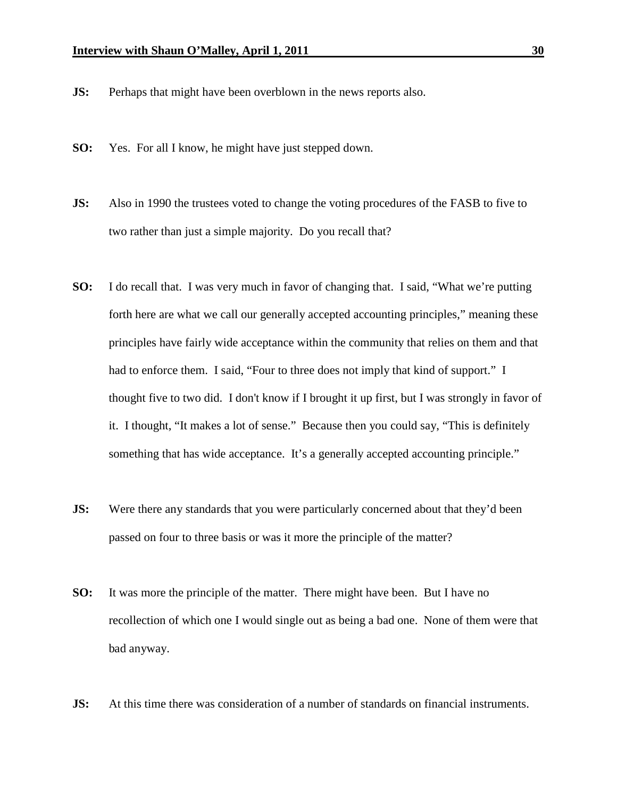- **JS:** Perhaps that might have been overblown in the news reports also.
- **SO:** Yes. For all I know, he might have just stepped down.
- **JS:** Also in 1990 the trustees voted to change the voting procedures of the FASB to five to two rather than just a simple majority. Do you recall that?
- **SO:** I do recall that. I was very much in favor of changing that. I said, "What we're putting forth here are what we call our generally accepted accounting principles," meaning these principles have fairly wide acceptance within the community that relies on them and that had to enforce them. I said, "Four to three does not imply that kind of support." I thought five to two did. I don't know if I brought it up first, but I was strongly in favor of it. I thought, "It makes a lot of sense." Because then you could say, "This is definitely something that has wide acceptance. It's a generally accepted accounting principle."
- **JS:** Were there any standards that you were particularly concerned about that they'd been passed on four to three basis or was it more the principle of the matter?
- **SO:** It was more the principle of the matter. There might have been. But I have no recollection of which one I would single out as being a bad one. None of them were that bad anyway.
- **JS:** At this time there was consideration of a number of standards on financial instruments.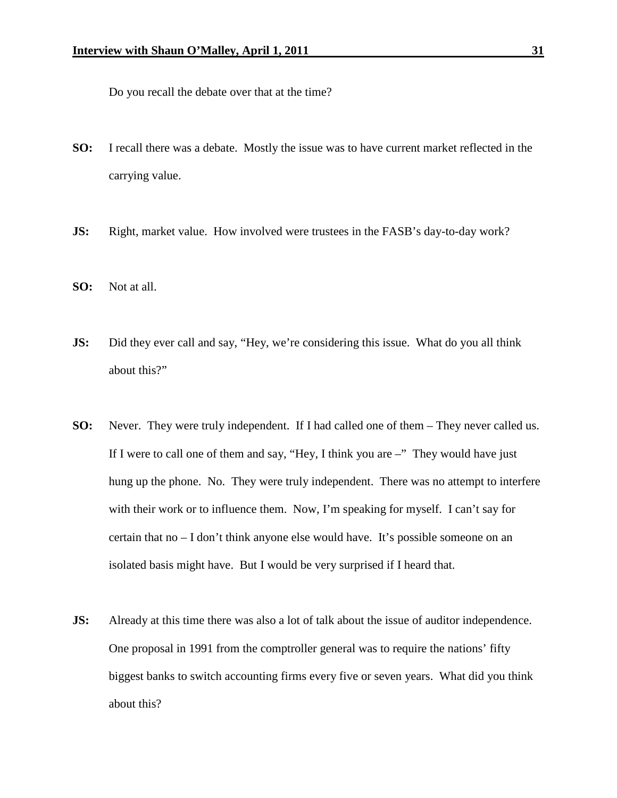Do you recall the debate over that at the time?

- **SO:** I recall there was a debate. Mostly the issue was to have current market reflected in the carrying value.
- **JS:** Right, market value. How involved were trustees in the FASB's day-to-day work?
- **SO:** Not at all.
- **JS:** Did they ever call and say, "Hey, we're considering this issue. What do you all think about this?"
- **SO:** Never. They were truly independent. If I had called one of them They never called us. If I were to call one of them and say, "Hey, I think you are  $-$ " They would have just hung up the phone. No. They were truly independent. There was no attempt to interfere with their work or to influence them. Now, I'm speaking for myself. I can't say for certain that no – I don't think anyone else would have. It's possible someone on an isolated basis might have. But I would be very surprised if I heard that.
- **JS:** Already at this time there was also a lot of talk about the issue of auditor independence. One proposal in 1991 from the comptroller general was to require the nations' fifty biggest banks to switch accounting firms every five or seven years. What did you think about this?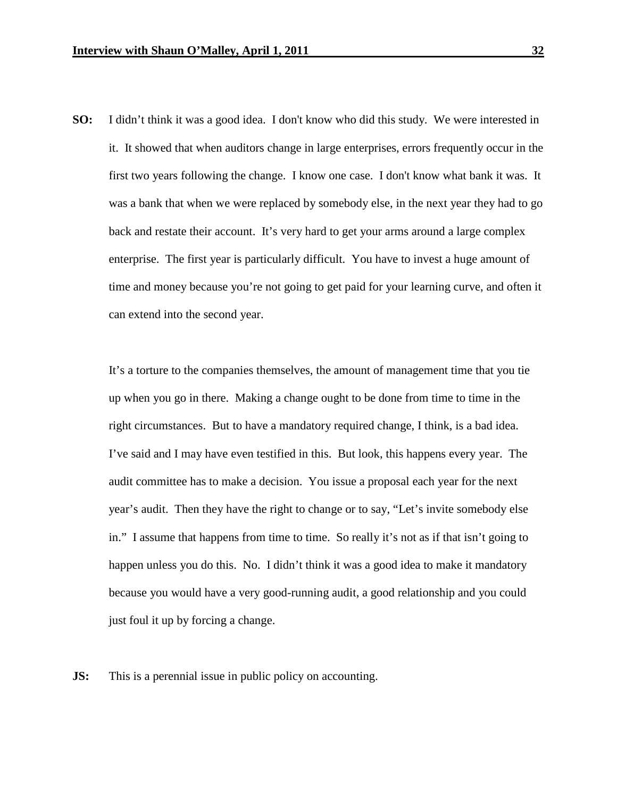**SO:** I didn't think it was a good idea. I don't know who did this study. We were interested in it. It showed that when auditors change in large enterprises, errors frequently occur in the first two years following the change. I know one case. I don't know what bank it was. It was a bank that when we were replaced by somebody else, in the next year they had to go back and restate their account. It's very hard to get your arms around a large complex enterprise. The first year is particularly difficult. You have to invest a huge amount of time and money because you're not going to get paid for your learning curve, and often it can extend into the second year.

It's a torture to the companies themselves, the amount of management time that you tie up when you go in there. Making a change ought to be done from time to time in the right circumstances. But to have a mandatory required change, I think, is a bad idea. I've said and I may have even testified in this. But look, this happens every year. The audit committee has to make a decision. You issue a proposal each year for the next year's audit. Then they have the right to change or to say, "Let's invite somebody else in." I assume that happens from time to time. So really it's not as if that isn't going to happen unless you do this. No. I didn't think it was a good idea to make it mandatory because you would have a very good-running audit, a good relationship and you could just foul it up by forcing a change.

**JS:** This is a perennial issue in public policy on accounting.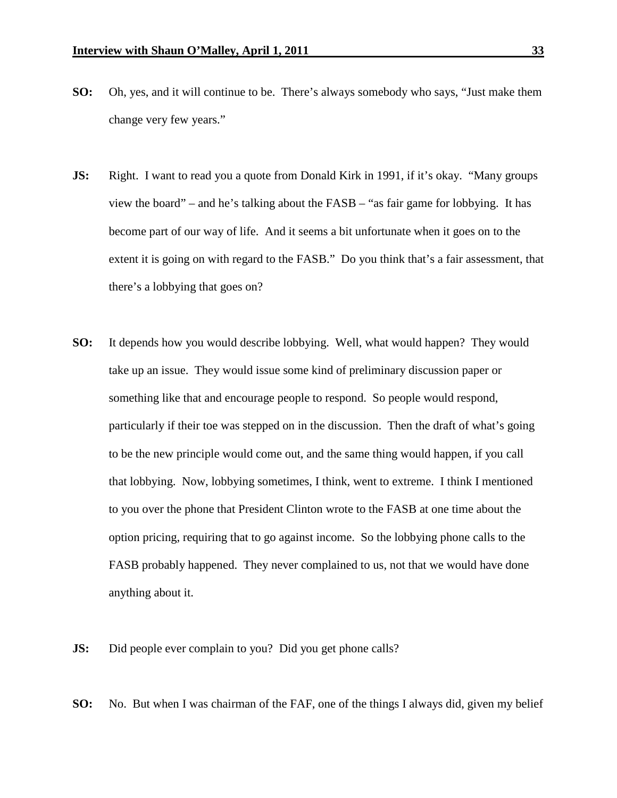- **SO:** Oh, yes, and it will continue to be. There's always somebody who says, "Just make them change very few years."
- **JS:** Right. I want to read you a quote from Donald Kirk in 1991, if it's okay. "Many groups" view the board" – and he's talking about the FASB – "as fair game for lobbying. It has become part of our way of life. And it seems a bit unfortunate when it goes on to the extent it is going on with regard to the FASB." Do you think that's a fair assessment, that there's a lobbying that goes on?
- **SO:** It depends how you would describe lobbying. Well, what would happen? They would take up an issue. They would issue some kind of preliminary discussion paper or something like that and encourage people to respond. So people would respond, particularly if their toe was stepped on in the discussion. Then the draft of what's going to be the new principle would come out, and the same thing would happen, if you call that lobbying. Now, lobbying sometimes, I think, went to extreme. I think I mentioned to you over the phone that President Clinton wrote to the FASB at one time about the option pricing, requiring that to go against income. So the lobbying phone calls to the FASB probably happened. They never complained to us, not that we would have done anything about it.
- **JS:** Did people ever complain to you? Did you get phone calls?
- **SO:** No. But when I was chairman of the FAF, one of the things I always did, given my belief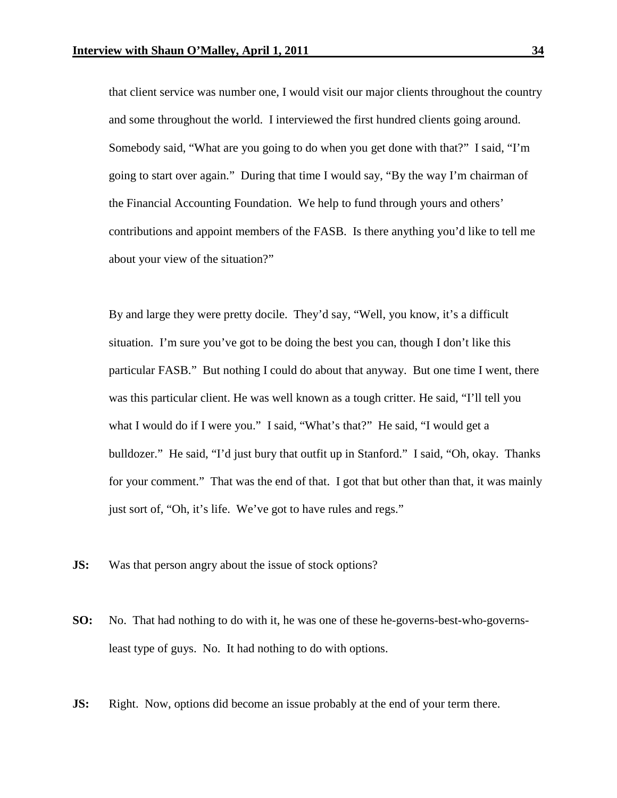that client service was number one, I would visit our major clients throughout the country and some throughout the world. I interviewed the first hundred clients going around. Somebody said, "What are you going to do when you get done with that?" I said, "I'm going to start over again." During that time I would say, "By the way I'm chairman of the Financial Accounting Foundation. We help to fund through yours and others' contributions and appoint members of the FASB. Is there anything you'd like to tell me about your view of the situation?"

By and large they were pretty docile. They'd say, "Well, you know, it's a difficult situation. I'm sure you've got to be doing the best you can, though I don't like this particular FASB." But nothing I could do about that anyway. But one time I went, there was this particular client. He was well known as a tough critter. He said, "I'll tell you what I would do if I were you." I said, "What's that?" He said, "I would get a bulldozer." He said, "I'd just bury that outfit up in Stanford." I said, "Oh, okay. Thanks for your comment." That was the end of that. I got that but other than that, it was mainly just sort of, "Oh, it's life. We've got to have rules and regs."

- **JS:** Was that person angry about the issue of stock options?
- **SO:** No. That had nothing to do with it, he was one of these he-governs-best-who-governsleast type of guys. No. It had nothing to do with options.
- **JS:** Right. Now, options did become an issue probably at the end of your term there.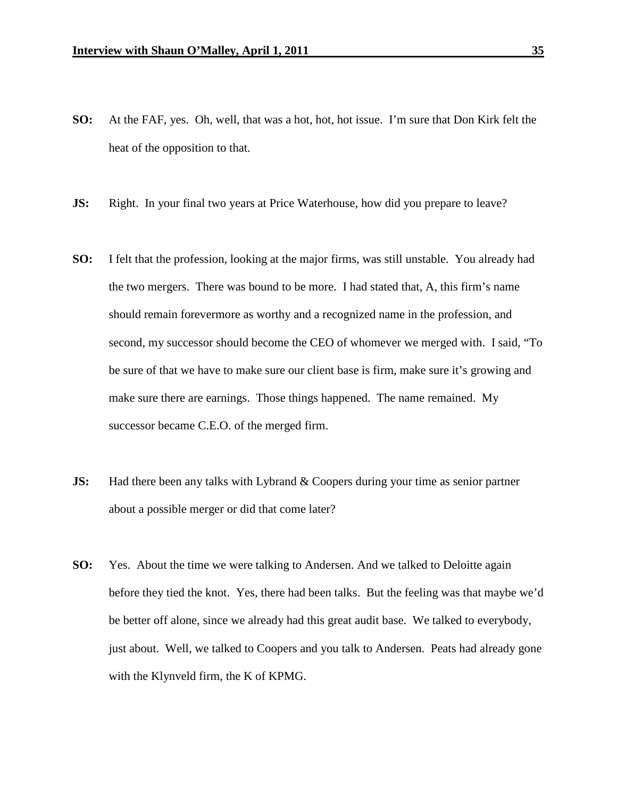- **SO:** At the FAF, yes. Oh, well, that was a hot, hot, hot issue. I'm sure that Don Kirk felt the heat of the opposition to that.
- **JS:** Right. In your final two years at Price Waterhouse, how did you prepare to leave?
- **SO:** I felt that the profession, looking at the major firms, was still unstable. You already had the two mergers. There was bound to be more. I had stated that, A, this firm's name should remain forevermore as worthy and a recognized name in the profession, and second, my successor should become the CEO of whomever we merged with. I said, "To be sure of that we have to make sure our client base is firm, make sure it's growing and make sure there are earnings. Those things happened. The name remained. My successor became C.E.O. of the merged firm.
- **JS:** Had there been any talks with Lybrand & Coopers during your time as senior partner about a possible merger or did that come later?
- **SO:** Yes. About the time we were talking to Andersen. And we talked to Deloitte again before they tied the knot. Yes, there had been talks. But the feeling was that maybe we'd be better off alone, since we already had this great audit base. We talked to everybody, just about. Well, we talked to Coopers and you talk to Andersen. Peats had already gone with the Klynveld firm, the K of KPMG.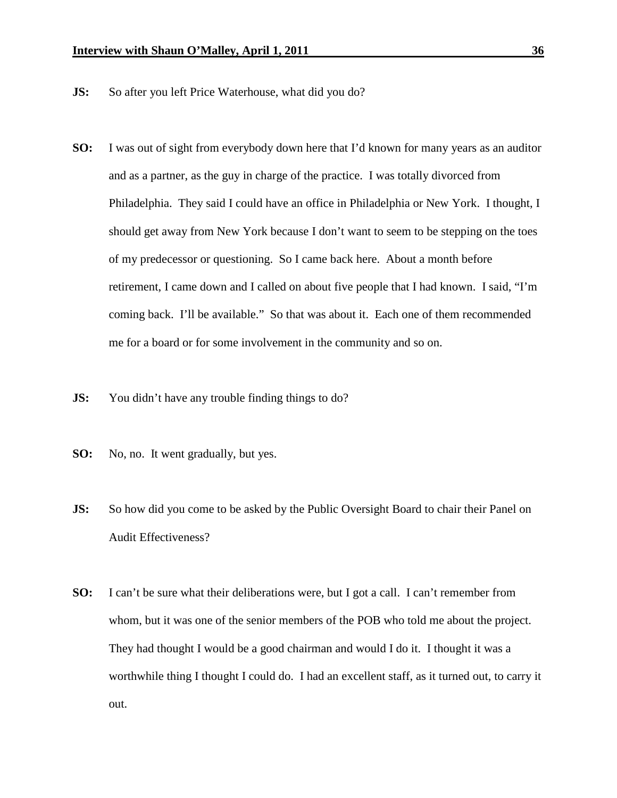- **JS:** So after you left Price Waterhouse, what did you do?
- **SO:** I was out of sight from everybody down here that I'd known for many years as an auditor and as a partner, as the guy in charge of the practice. I was totally divorced from Philadelphia. They said I could have an office in Philadelphia or New York. I thought, I should get away from New York because I don't want to seem to be stepping on the toes of my predecessor or questioning. So I came back here. About a month before retirement, I came down and I called on about five people that I had known. I said, "I'm coming back. I'll be available." So that was about it. Each one of them recommended me for a board or for some involvement in the community and so on.
- **JS:** You didn't have any trouble finding things to do?
- **SO:** No, no. It went gradually, but yes.
- **JS:** So how did you come to be asked by the Public Oversight Board to chair their Panel on Audit Effectiveness?
- **SO:** I can't be sure what their deliberations were, but I got a call. I can't remember from whom, but it was one of the senior members of the POB who told me about the project. They had thought I would be a good chairman and would I do it. I thought it was a worthwhile thing I thought I could do. I had an excellent staff, as it turned out, to carry it out.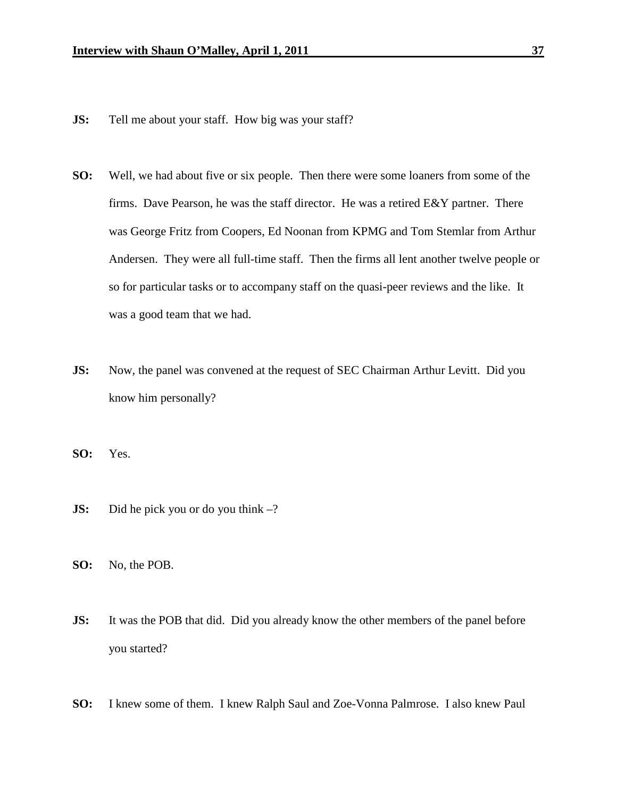- **JS:** Tell me about your staff. How big was your staff?
- **SO:** Well, we had about five or six people. Then there were some loaners from some of the firms. Dave Pearson, he was the staff director. He was a retired E&Y partner. There was George Fritz from Coopers, Ed Noonan from KPMG and Tom Stemlar from Arthur Andersen. They were all full-time staff. Then the firms all lent another twelve people or so for particular tasks or to accompany staff on the quasi-peer reviews and the like. It was a good team that we had.
- **JS:** Now, the panel was convened at the request of SEC Chairman Arthur Levitt. Did you know him personally?

**SO:** Yes.

- **JS:** Did he pick you or do you think –?
- **SO:** No, the POB.
- **JS:** It was the POB that did. Did you already know the other members of the panel before you started?
- **SO:** I knew some of them. I knew Ralph Saul and Zoe-Vonna Palmrose. I also knew Paul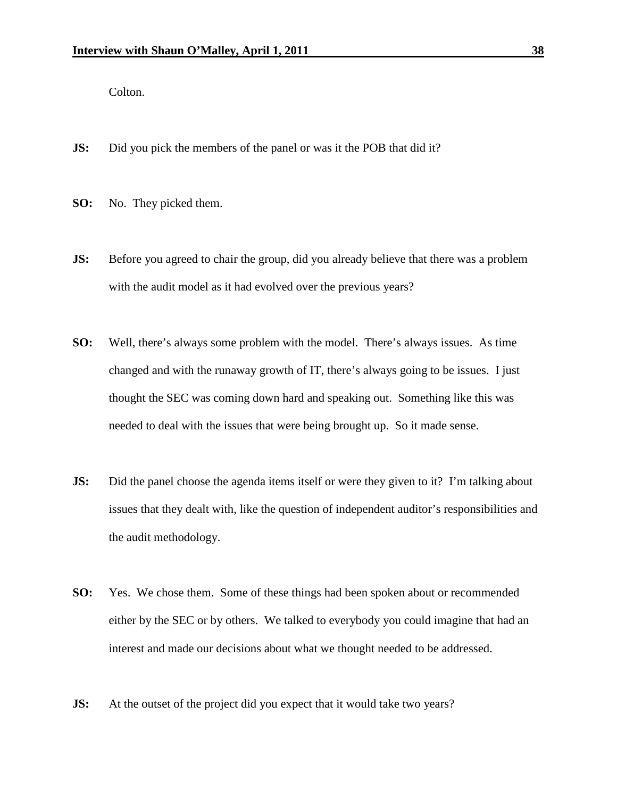Colton.

- **JS:** Did you pick the members of the panel or was it the POB that did it?
- **SO:** No. They picked them.
- **JS:** Before you agreed to chair the group, did you already believe that there was a problem with the audit model as it had evolved over the previous years?
- **SO:** Well, there's always some problem with the model. There's always issues. As time changed and with the runaway growth of IT, there's always going to be issues. I just thought the SEC was coming down hard and speaking out. Something like this was needed to deal with the issues that were being brought up. So it made sense.
- **JS:** Did the panel choose the agenda items itself or were they given to it? I'm talking about issues that they dealt with, like the question of independent auditor's responsibilities and the audit methodology.
- **SO:** Yes. We chose them. Some of these things had been spoken about or recommended either by the SEC or by others. We talked to everybody you could imagine that had an interest and made our decisions about what we thought needed to be addressed.
- **JS:** At the outset of the project did you expect that it would take two years?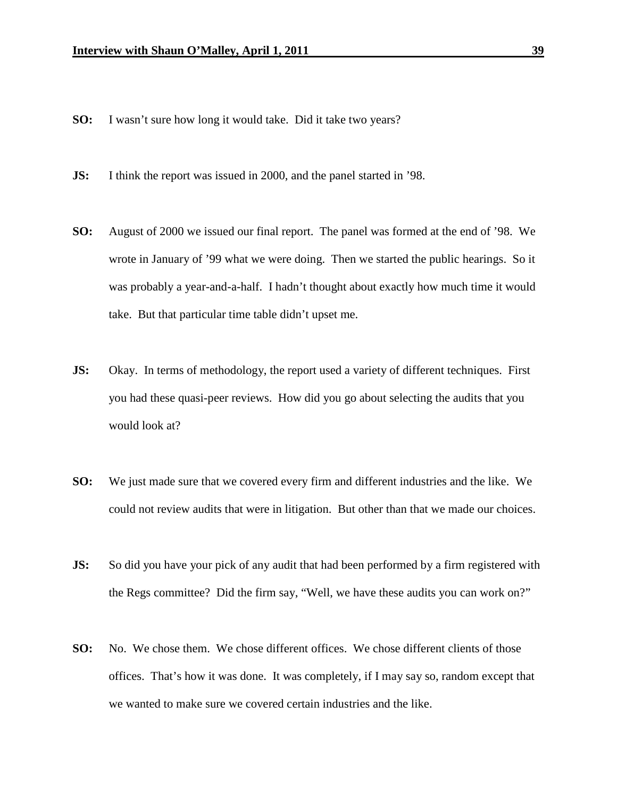- **SO:** I wasn't sure how long it would take. Did it take two years?
- **JS:** I think the report was issued in 2000, and the panel started in '98.
- **SO:** August of 2000 we issued our final report. The panel was formed at the end of '98. We wrote in January of '99 what we were doing. Then we started the public hearings. So it was probably a year-and-a-half. I hadn't thought about exactly how much time it would take. But that particular time table didn't upset me.
- **JS:** Okay. In terms of methodology, the report used a variety of different techniques. First you had these quasi-peer reviews. How did you go about selecting the audits that you would look at?
- **SO:** We just made sure that we covered every firm and different industries and the like. We could not review audits that were in litigation. But other than that we made our choices.
- **JS:** So did you have your pick of any audit that had been performed by a firm registered with the Regs committee? Did the firm say, "Well, we have these audits you can work on?"
- **SO:** No. We chose them. We chose different offices. We chose different clients of those offices. That's how it was done. It was completely, if I may say so, random except that we wanted to make sure we covered certain industries and the like.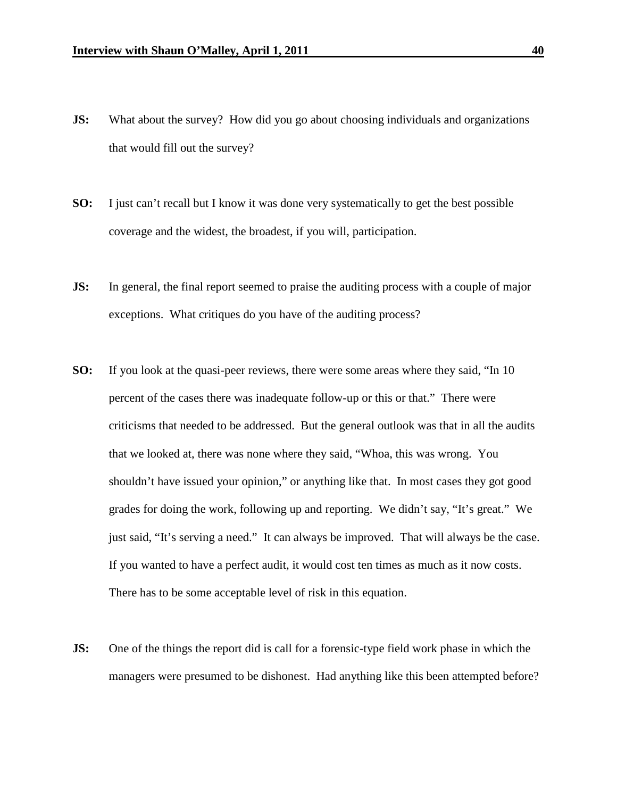- **JS:** What about the survey? How did you go about choosing individuals and organizations that would fill out the survey?
- **SO:** I just can't recall but I know it was done very systematically to get the best possible coverage and the widest, the broadest, if you will, participation.
- **JS:** In general, the final report seemed to praise the auditing process with a couple of major exceptions. What critiques do you have of the auditing process?
- **SO:** If you look at the quasi-peer reviews, there were some areas where they said, "In 10 percent of the cases there was inadequate follow-up or this or that." There were criticisms that needed to be addressed. But the general outlook was that in all the audits that we looked at, there was none where they said, "Whoa, this was wrong. You shouldn't have issued your opinion," or anything like that. In most cases they got good grades for doing the work, following up and reporting. We didn't say, "It's great." We just said, "It's serving a need." It can always be improved. That will always be the case. If you wanted to have a perfect audit, it would cost ten times as much as it now costs. There has to be some acceptable level of risk in this equation.
- **JS:** One of the things the report did is call for a forensic-type field work phase in which the managers were presumed to be dishonest. Had anything like this been attempted before?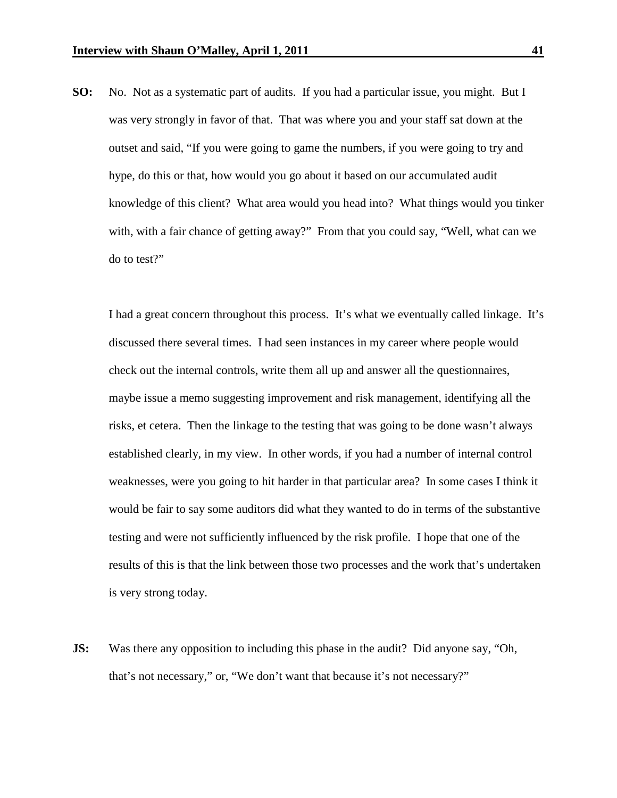**SO:** No. Not as a systematic part of audits. If you had a particular issue, you might. But I was very strongly in favor of that. That was where you and your staff sat down at the outset and said, "If you were going to game the numbers, if you were going to try and hype, do this or that, how would you go about it based on our accumulated audit knowledge of this client? What area would you head into? What things would you tinker with, with a fair chance of getting away?" From that you could say, "Well, what can we do to test?"

I had a great concern throughout this process. It's what we eventually called linkage. It's discussed there several times. I had seen instances in my career where people would check out the internal controls, write them all up and answer all the questionnaires, maybe issue a memo suggesting improvement and risk management, identifying all the risks, et cetera. Then the linkage to the testing that was going to be done wasn't always established clearly, in my view. In other words, if you had a number of internal control weaknesses, were you going to hit harder in that particular area? In some cases I think it would be fair to say some auditors did what they wanted to do in terms of the substantive testing and were not sufficiently influenced by the risk profile. I hope that one of the results of this is that the link between those two processes and the work that's undertaken is very strong today.

**JS:** Was there any opposition to including this phase in the audit? Did anyone say, "Oh, that's not necessary," or, "We don't want that because it's not necessary?"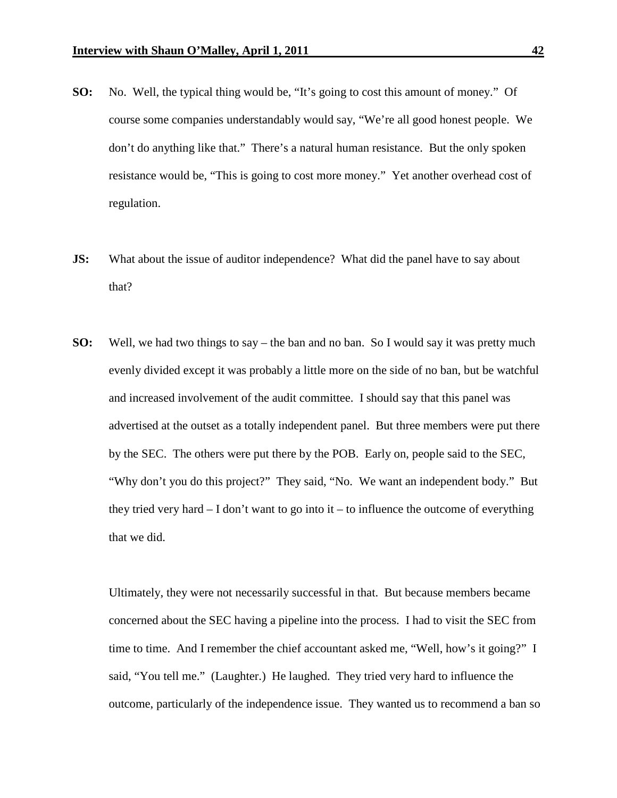- **SO:** No. Well, the typical thing would be, "It's going to cost this amount of money." Of course some companies understandably would say, "We're all good honest people. We don't do anything like that." There's a natural human resistance. But the only spoken resistance would be, "This is going to cost more money." Yet another overhead cost of regulation.
- **JS:** What about the issue of auditor independence? What did the panel have to say about that?
- **SO:** Well, we had two things to say the ban and no ban. So I would say it was pretty much evenly divided except it was probably a little more on the side of no ban, but be watchful and increased involvement of the audit committee. I should say that this panel was advertised at the outset as a totally independent panel. But three members were put there by the SEC. The others were put there by the POB. Early on, people said to the SEC, "Why don't you do this project?" They said, "No. We want an independent body." But they tried very hard  $- I$  don't want to go into it  $-$  to influence the outcome of everything that we did.

Ultimately, they were not necessarily successful in that. But because members became concerned about the SEC having a pipeline into the process. I had to visit the SEC from time to time. And I remember the chief accountant asked me, "Well, how's it going?" I said, "You tell me." (Laughter.) He laughed. They tried very hard to influence the outcome, particularly of the independence issue. They wanted us to recommend a ban so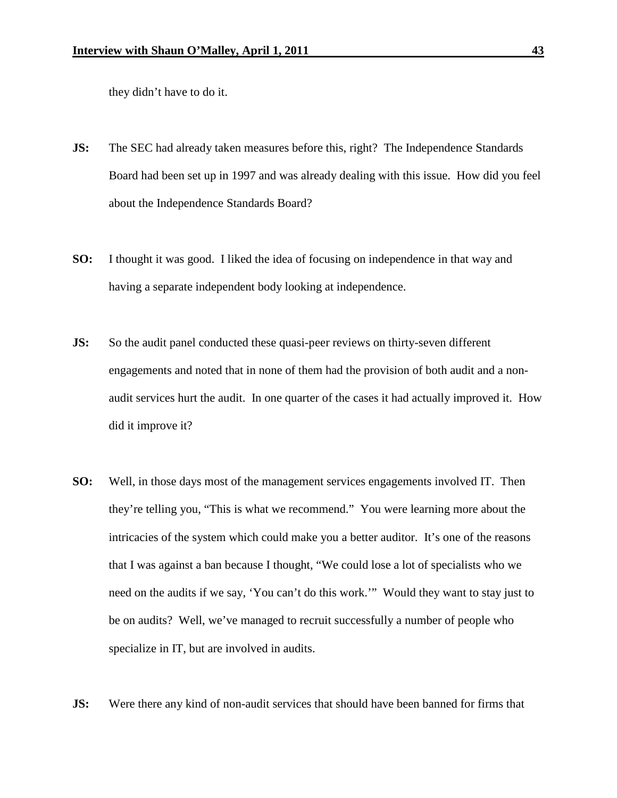they didn't have to do it.

- **JS:** The SEC had already taken measures before this, right? The Independence Standards Board had been set up in 1997 and was already dealing with this issue. How did you feel about the Independence Standards Board?
- **SO:** I thought it was good. I liked the idea of focusing on independence in that way and having a separate independent body looking at independence.
- **JS:** So the audit panel conducted these quasi-peer reviews on thirty-seven different engagements and noted that in none of them had the provision of both audit and a nonaudit services hurt the audit. In one quarter of the cases it had actually improved it. How did it improve it?
- **SO:** Well, in those days most of the management services engagements involved IT. Then they're telling you, "This is what we recommend." You were learning more about the intricacies of the system which could make you a better auditor. It's one of the reasons that I was against a ban because I thought, "We could lose a lot of specialists who we need on the audits if we say, 'You can't do this work.'" Would they want to stay just to be on audits? Well, we've managed to recruit successfully a number of people who specialize in IT, but are involved in audits.
- **JS:** Were there any kind of non-audit services that should have been banned for firms that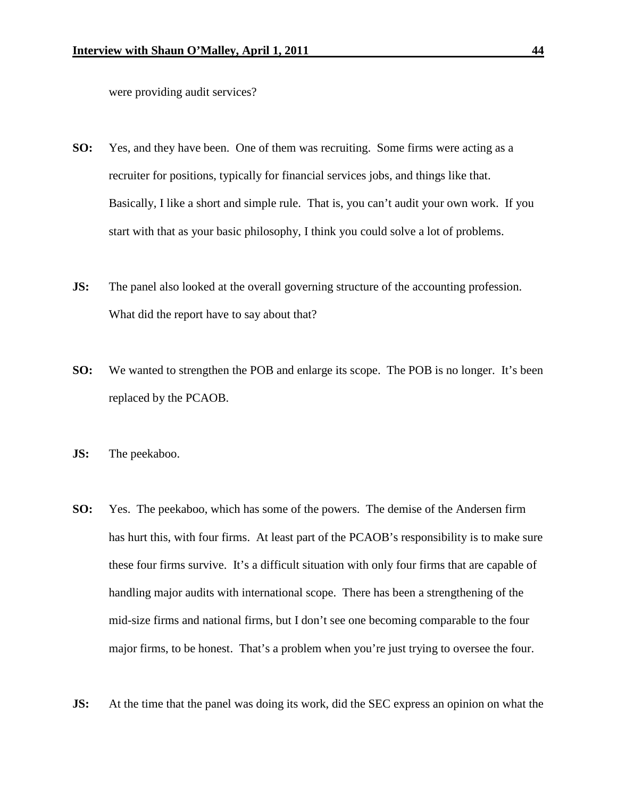were providing audit services?

- **SO:** Yes, and they have been. One of them was recruiting. Some firms were acting as a recruiter for positions, typically for financial services jobs, and things like that. Basically, I like a short and simple rule. That is, you can't audit your own work. If you start with that as your basic philosophy, I think you could solve a lot of problems.
- **JS:** The panel also looked at the overall governing structure of the accounting profession. What did the report have to say about that?
- **SO:** We wanted to strengthen the POB and enlarge its scope. The POB is no longer. It's been replaced by the PCAOB.
- **JS:** The peekaboo.
- **SO:** Yes. The peekaboo, which has some of the powers. The demise of the Andersen firm has hurt this, with four firms. At least part of the PCAOB's responsibility is to make sure these four firms survive. It's a difficult situation with only four firms that are capable of handling major audits with international scope. There has been a strengthening of the mid-size firms and national firms, but I don't see one becoming comparable to the four major firms, to be honest. That's a problem when you're just trying to oversee the four.
- **JS:** At the time that the panel was doing its work, did the SEC express an opinion on what the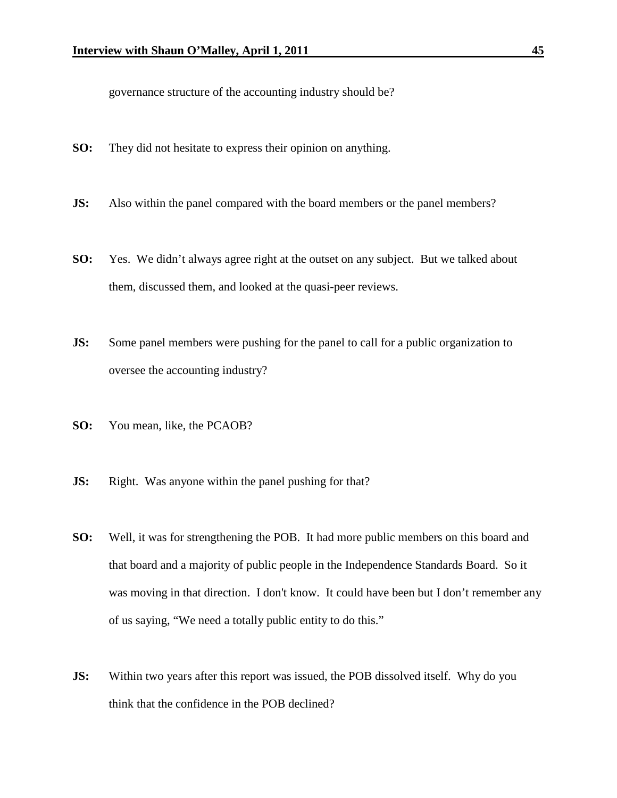governance structure of the accounting industry should be?

- **SO:** They did not hesitate to express their opinion on anything.
- **JS:** Also within the panel compared with the board members or the panel members?
- **SO:** Yes. We didn't always agree right at the outset on any subject. But we talked about them, discussed them, and looked at the quasi-peer reviews.
- **JS:** Some panel members were pushing for the panel to call for a public organization to oversee the accounting industry?
- **SO:** You mean, like, the PCAOB?
- **JS:** Right. Was anyone within the panel pushing for that?
- **SO:** Well, it was for strengthening the POB. It had more public members on this board and that board and a majority of public people in the Independence Standards Board. So it was moving in that direction. I don't know. It could have been but I don't remember any of us saying, "We need a totally public entity to do this."
- **JS:** Within two years after this report was issued, the POB dissolved itself. Why do you think that the confidence in the POB declined?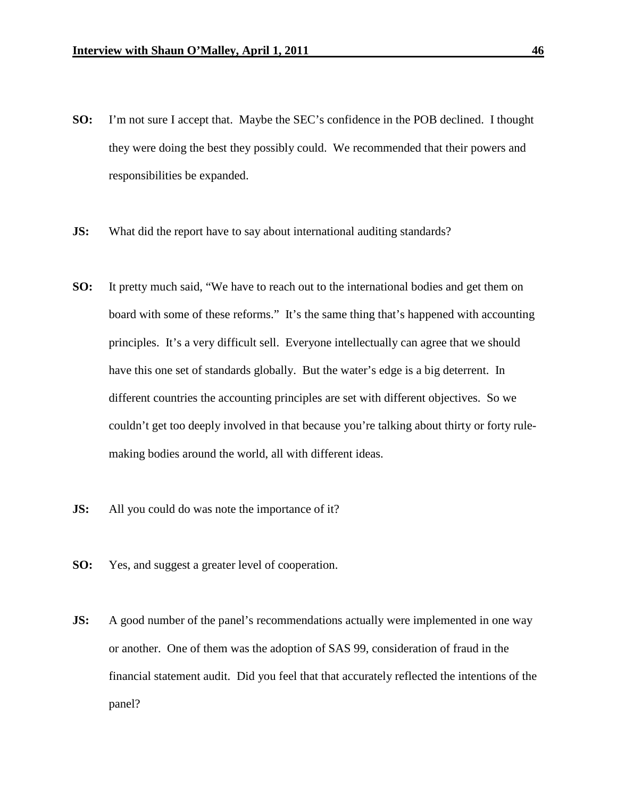- **SO:** I'm not sure I accept that. Maybe the SEC's confidence in the POB declined. I thought they were doing the best they possibly could. We recommended that their powers and responsibilities be expanded.
- **JS:** What did the report have to say about international auditing standards?
- **SO:** It pretty much said, "We have to reach out to the international bodies and get them on board with some of these reforms." It's the same thing that's happened with accounting principles. It's a very difficult sell. Everyone intellectually can agree that we should have this one set of standards globally. But the water's edge is a big deterrent. In different countries the accounting principles are set with different objectives. So we couldn't get too deeply involved in that because you're talking about thirty or forty rulemaking bodies around the world, all with different ideas.
- **JS:** All you could do was note the importance of it?
- **SO:** Yes, and suggest a greater level of cooperation.
- **JS:** A good number of the panel's recommendations actually were implemented in one way or another. One of them was the adoption of SAS 99, consideration of fraud in the financial statement audit. Did you feel that that accurately reflected the intentions of the panel?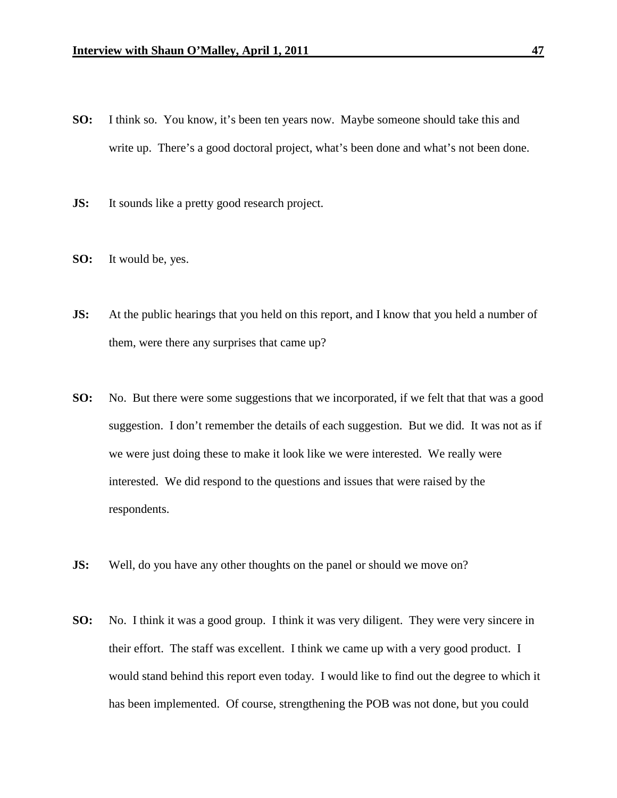- **SO:** I think so. You know, it's been ten years now. Maybe someone should take this and write up. There's a good doctoral project, what's been done and what's not been done.
- **JS:** It sounds like a pretty good research project.
- **SO:** It would be, yes.
- **JS:** At the public hearings that you held on this report, and I know that you held a number of them, were there any surprises that came up?
- **SO:** No. But there were some suggestions that we incorporated, if we felt that that was a good suggestion. I don't remember the details of each suggestion. But we did. It was not as if we were just doing these to make it look like we were interested. We really were interested. We did respond to the questions and issues that were raised by the respondents.
- **JS:** Well, do you have any other thoughts on the panel or should we move on?
- **SO:** No. I think it was a good group. I think it was very diligent. They were very sincere in their effort. The staff was excellent. I think we came up with a very good product. I would stand behind this report even today. I would like to find out the degree to which it has been implemented. Of course, strengthening the POB was not done, but you could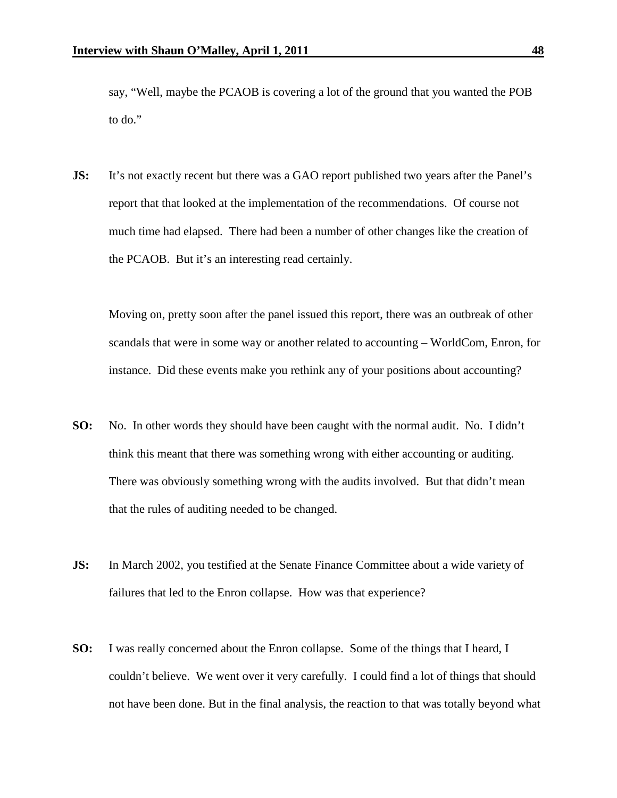say, "Well, maybe the PCAOB is covering a lot of the ground that you wanted the POB to do."

**JS:** It's not exactly recent but there was a GAO report published two years after the Panel's report that that looked at the implementation of the recommendations. Of course not much time had elapsed. There had been a number of other changes like the creation of the PCAOB. But it's an interesting read certainly.

Moving on, pretty soon after the panel issued this report, there was an outbreak of other scandals that were in some way or another related to accounting – WorldCom, Enron, for instance. Did these events make you rethink any of your positions about accounting?

- **SO:** No. In other words they should have been caught with the normal audit. No. I didn't think this meant that there was something wrong with either accounting or auditing. There was obviously something wrong with the audits involved. But that didn't mean that the rules of auditing needed to be changed.
- **JS:** In March 2002, you testified at the Senate Finance Committee about a wide variety of failures that led to the Enron collapse. How was that experience?
- **SO:** I was really concerned about the Enron collapse. Some of the things that I heard, I couldn't believe. We went over it very carefully. I could find a lot of things that should not have been done. But in the final analysis, the reaction to that was totally beyond what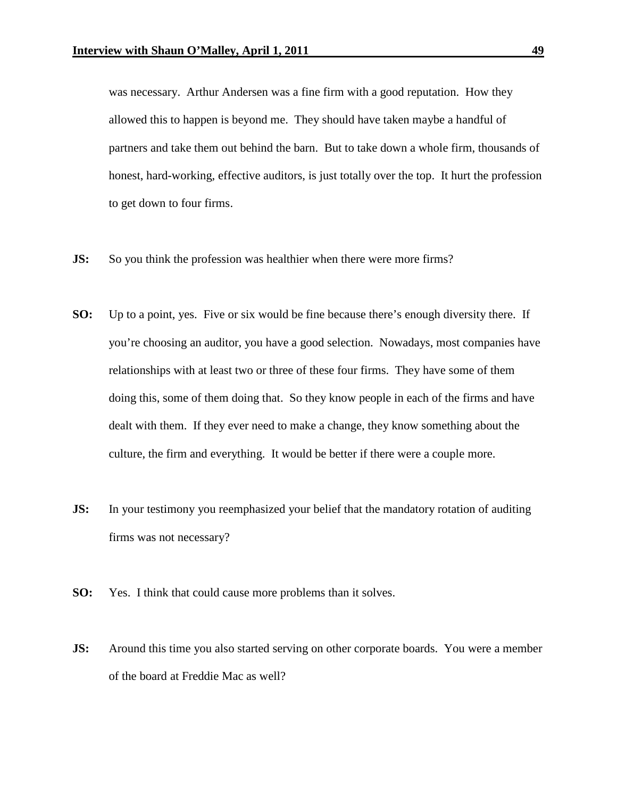was necessary. Arthur Andersen was a fine firm with a good reputation. How they allowed this to happen is beyond me. They should have taken maybe a handful of partners and take them out behind the barn. But to take down a whole firm, thousands of honest, hard-working, effective auditors, is just totally over the top. It hurt the profession to get down to four firms.

- **JS:** So you think the profession was healthier when there were more firms?
- **SO:** Up to a point, yes. Five or six would be fine because there's enough diversity there. If you're choosing an auditor, you have a good selection. Nowadays, most companies have relationships with at least two or three of these four firms. They have some of them doing this, some of them doing that. So they know people in each of the firms and have dealt with them. If they ever need to make a change, they know something about the culture, the firm and everything. It would be better if there were a couple more.
- **JS:** In your testimony you reemphasized your belief that the mandatory rotation of auditing firms was not necessary?
- **SO:** Yes. I think that could cause more problems than it solves.
- **JS:** Around this time you also started serving on other corporate boards. You were a member of the board at Freddie Mac as well?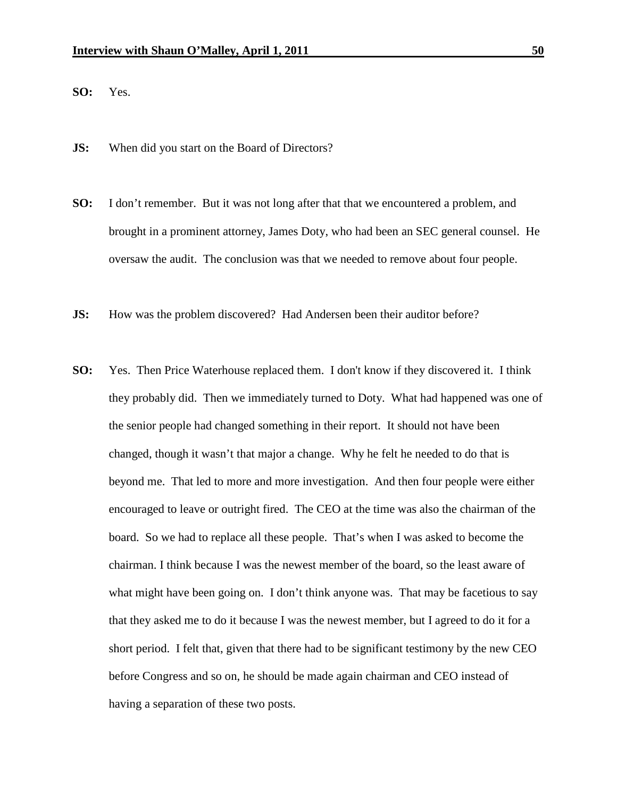**SO:** Yes.

- **JS:** When did you start on the Board of Directors?
- **SO:** I don't remember. But it was not long after that that we encountered a problem, and brought in a prominent attorney, James Doty, who had been an SEC general counsel. He oversaw the audit. The conclusion was that we needed to remove about four people.
- **JS:** How was the problem discovered? Had Andersen been their auditor before?
- **SO:** Yes. Then Price Waterhouse replaced them. I don't know if they discovered it. I think they probably did. Then we immediately turned to Doty. What had happened was one of the senior people had changed something in their report. It should not have been changed, though it wasn't that major a change. Why he felt he needed to do that is beyond me. That led to more and more investigation. And then four people were either encouraged to leave or outright fired. The CEO at the time was also the chairman of the board. So we had to replace all these people. That's when I was asked to become the chairman. I think because I was the newest member of the board, so the least aware of what might have been going on. I don't think anyone was. That may be facetious to say that they asked me to do it because I was the newest member, but I agreed to do it for a short period. I felt that, given that there had to be significant testimony by the new CEO before Congress and so on, he should be made again chairman and CEO instead of having a separation of these two posts.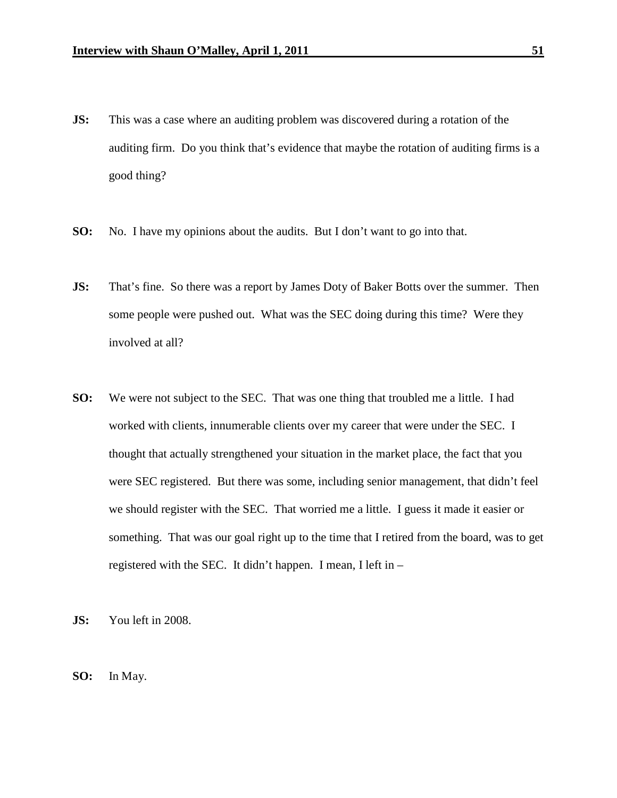- **JS:** This was a case where an auditing problem was discovered during a rotation of the auditing firm. Do you think that's evidence that maybe the rotation of auditing firms is a good thing?
- **SO:** No. I have my opinions about the audits. But I don't want to go into that.
- **JS:** That's fine. So there was a report by James Doty of Baker Botts over the summer. Then some people were pushed out. What was the SEC doing during this time? Were they involved at all?
- **SO:** We were not subject to the SEC. That was one thing that troubled me a little. I had worked with clients, innumerable clients over my career that were under the SEC. I thought that actually strengthened your situation in the market place, the fact that you were SEC registered. But there was some, including senior management, that didn't feel we should register with the SEC. That worried me a little. I guess it made it easier or something. That was our goal right up to the time that I retired from the board, was to get registered with the SEC. It didn't happen. I mean, I left in –
- **JS:** You left in 2008.
- **SO:** In May.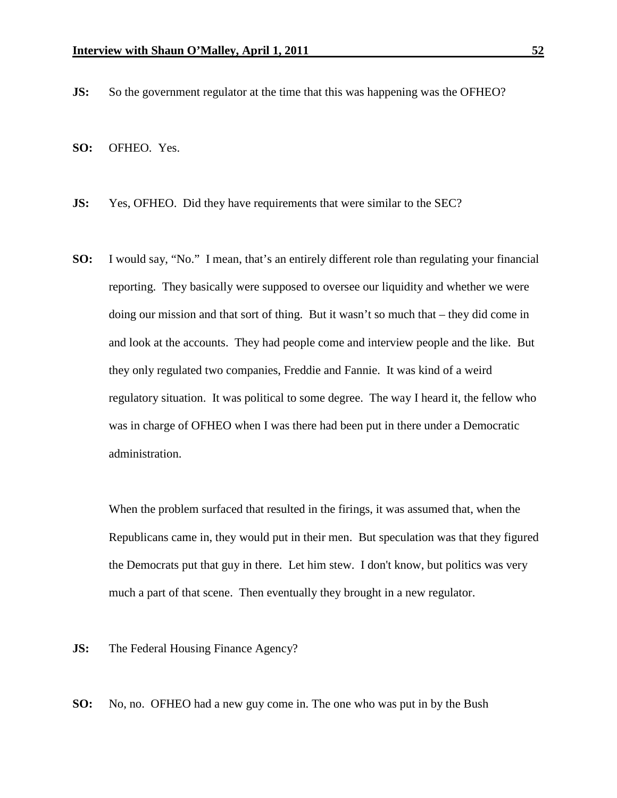- **JS:** So the government regulator at the time that this was happening was the OFHEO?
- **SO:** OFHEO. Yes.
- **JS:** Yes, OFHEO. Did they have requirements that were similar to the SEC?
- **SO:** I would say, "No." I mean, that's an entirely different role than regulating your financial reporting. They basically were supposed to oversee our liquidity and whether we were doing our mission and that sort of thing. But it wasn't so much that – they did come in and look at the accounts. They had people come and interview people and the like. But they only regulated two companies, Freddie and Fannie. It was kind of a weird regulatory situation. It was political to some degree. The way I heard it, the fellow who was in charge of OFHEO when I was there had been put in there under a Democratic administration.

When the problem surfaced that resulted in the firings, it was assumed that, when the Republicans came in, they would put in their men. But speculation was that they figured the Democrats put that guy in there. Let him stew. I don't know, but politics was very much a part of that scene. Then eventually they brought in a new regulator.

**JS:** The Federal Housing Finance Agency?

**SO:** No, no. OFHEO had a new guy come in. The one who was put in by the Bush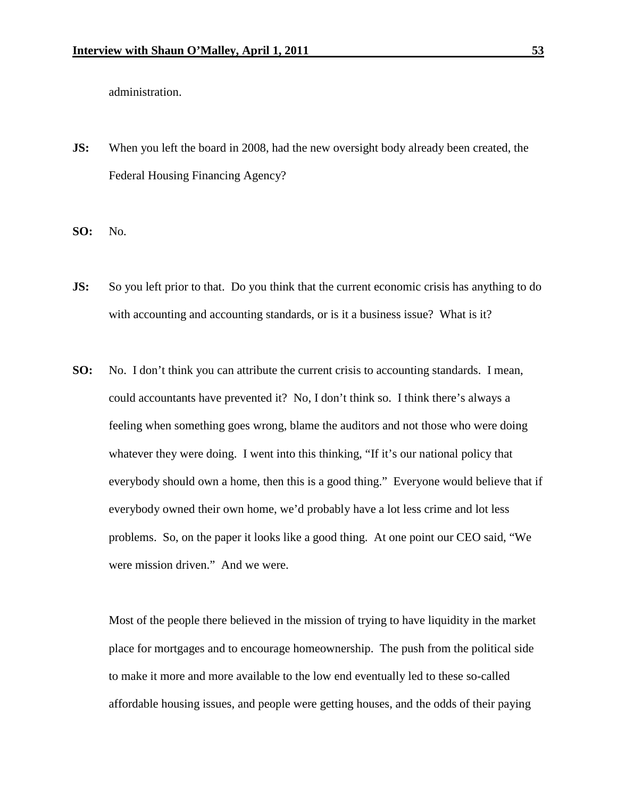administration.

**JS:** When you left the board in 2008, had the new oversight body already been created, the Federal Housing Financing Agency?

**SO:** No.

- **JS:** So you left prior to that. Do you think that the current economic crisis has anything to do with accounting and accounting standards, or is it a business issue? What is it?
- **SO:** No. I don't think you can attribute the current crisis to accounting standards. I mean, could accountants have prevented it? No, I don't think so. I think there's always a feeling when something goes wrong, blame the auditors and not those who were doing whatever they were doing. I went into this thinking, "If it's our national policy that everybody should own a home, then this is a good thing." Everyone would believe that if everybody owned their own home, we'd probably have a lot less crime and lot less problems. So, on the paper it looks like a good thing. At one point our CEO said, "We were mission driven." And we were.

Most of the people there believed in the mission of trying to have liquidity in the market place for mortgages and to encourage homeownership. The push from the political side to make it more and more available to the low end eventually led to these so-called affordable housing issues, and people were getting houses, and the odds of their paying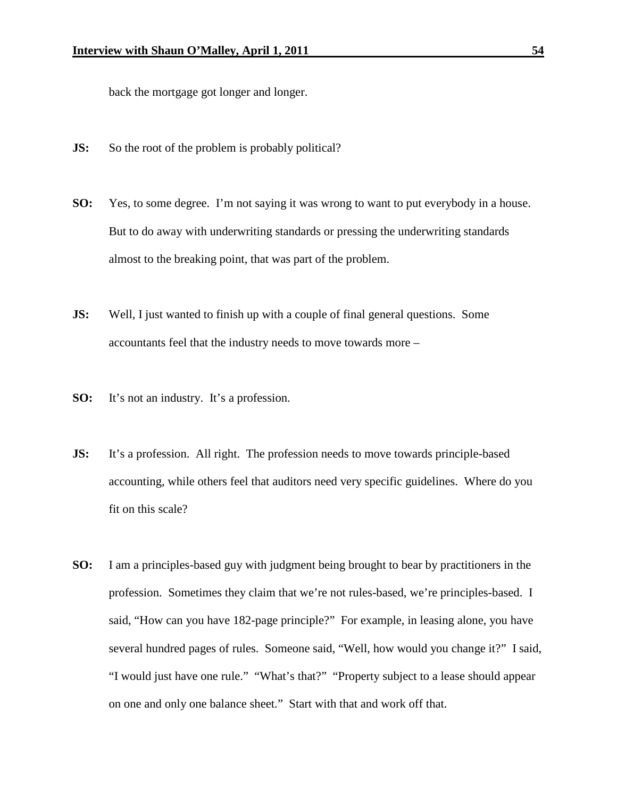back the mortgage got longer and longer.

- **JS:** So the root of the problem is probably political?
- **SO:** Yes, to some degree. I'm not saying it was wrong to want to put everybody in a house. But to do away with underwriting standards or pressing the underwriting standards almost to the breaking point, that was part of the problem.
- **JS:** Well, I just wanted to finish up with a couple of final general questions. Some accountants feel that the industry needs to move towards more –
- **SO:** It's not an industry. It's a profession.
- **JS:** It's a profession. All right. The profession needs to move towards principle-based accounting, while others feel that auditors need very specific guidelines. Where do you fit on this scale?
- **SO:** I am a principles-based guy with judgment being brought to bear by practitioners in the profession. Sometimes they claim that we're not rules-based, we're principles-based. I said, "How can you have 182-page principle?" For example, in leasing alone, you have several hundred pages of rules. Someone said, "Well, how would you change it?" I said, "I would just have one rule." "What's that?" "Property subject to a lease should appear on one and only one balance sheet." Start with that and work off that.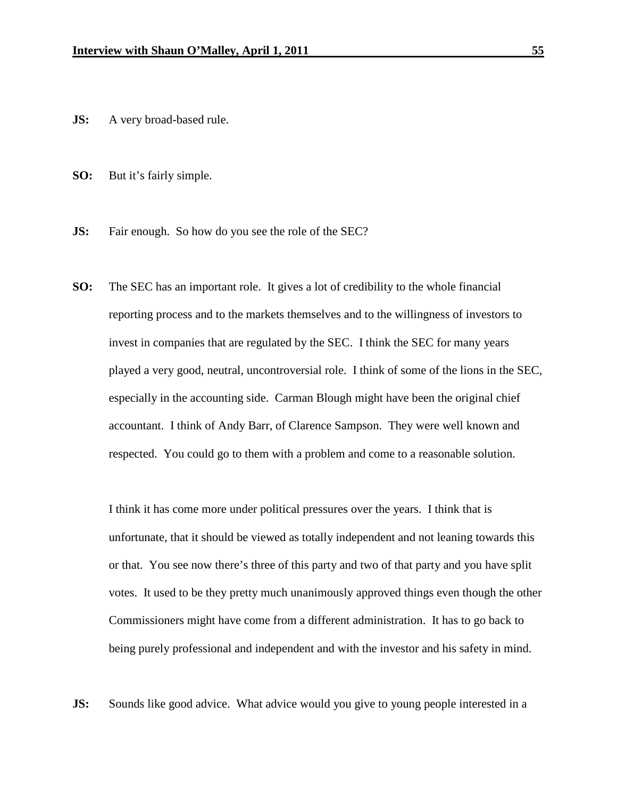- **JS:** A very broad-based rule.
- **SO:** But it's fairly simple.
- **JS:** Fair enough. So how do you see the role of the SEC?
- **SO:** The SEC has an important role. It gives a lot of credibility to the whole financial reporting process and to the markets themselves and to the willingness of investors to invest in companies that are regulated by the SEC. I think the SEC for many years played a very good, neutral, uncontroversial role. I think of some of the lions in the SEC, especially in the accounting side. Carman Blough might have been the original chief accountant. I think of Andy Barr, of Clarence Sampson. They were well known and respected. You could go to them with a problem and come to a reasonable solution.

I think it has come more under political pressures over the years. I think that is unfortunate, that it should be viewed as totally independent and not leaning towards this or that. You see now there's three of this party and two of that party and you have split votes. It used to be they pretty much unanimously approved things even though the other Commissioners might have come from a different administration. It has to go back to being purely professional and independent and with the investor and his safety in mind.

**JS:** Sounds like good advice. What advice would you give to young people interested in a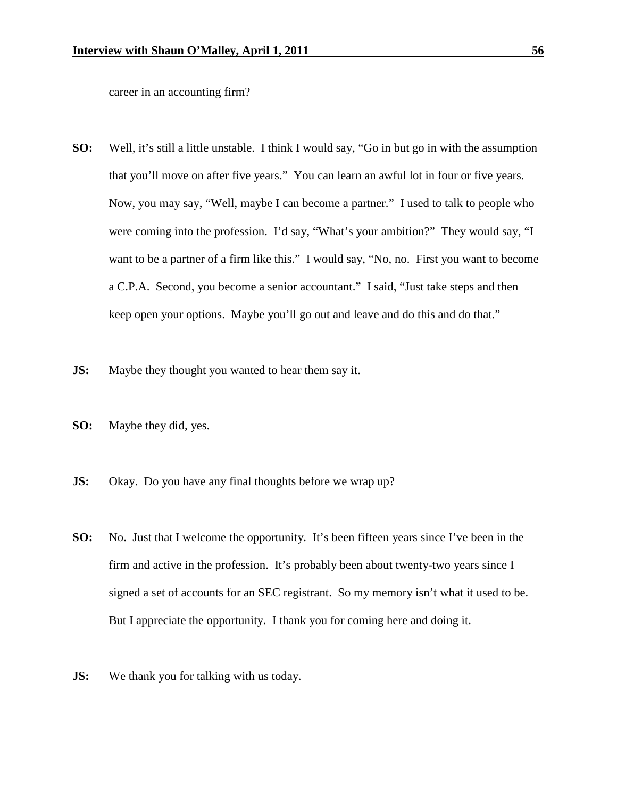career in an accounting firm?

- **SO:** Well, it's still a little unstable. I think I would say, "Go in but go in with the assumption that you'll move on after five years." You can learn an awful lot in four or five years. Now, you may say, "Well, maybe I can become a partner." I used to talk to people who were coming into the profession. I'd say, "What's your ambition?" They would say, "I want to be a partner of a firm like this." I would say, "No, no. First you want to become a C.P.A. Second, you become a senior accountant." I said, "Just take steps and then keep open your options. Maybe you'll go out and leave and do this and do that."
- **JS:** Maybe they thought you wanted to hear them say it.
- **SO:** Maybe they did, yes.
- **JS:** Okay. Do you have any final thoughts before we wrap up?
- **SO:** No. Just that I welcome the opportunity. It's been fifteen years since I've been in the firm and active in the profession. It's probably been about twenty-two years since I signed a set of accounts for an SEC registrant. So my memory isn't what it used to be. But I appreciate the opportunity. I thank you for coming here and doing it.
- **JS:** We thank you for talking with us today.